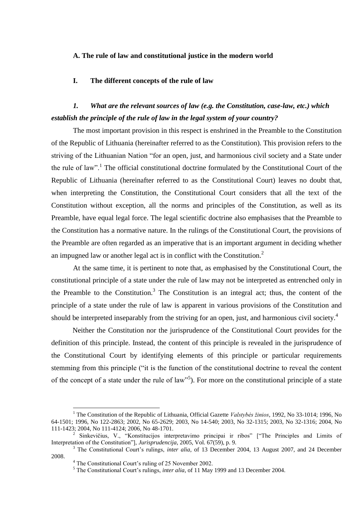#### **A. The rule of law and constitutional justice in the modern world**

#### **I. The different concepts of the rule of law**

### *1. What are the relevant sources of law (e.g. the Constitution, case-law, etc.) which establish the principle of the rule of law in the legal system of your country?*

The most important provision in this respect is enshrined in the Preamble to the Constitution of the Republic of Lithuania (hereinafter referred to as the Constitution). This provision refers to the striving of the Lithuanian Nation "for an open, just, and harmonious civil society and a State under the rule of law".<sup>1</sup> The official constitutional doctrine formulated by the Constitutional Court of the Republic of Lithuania (hereinafter referred to as the Constitutional Court) leaves no doubt that, when interpreting the Constitution, the Constitutional Court considers that all the text of the Constitution without exception, all the norms and principles of the Constitution, as well as its Preamble, have equal legal force. The legal scientific doctrine also emphasises that the Preamble to the Constitution has a normative nature. In the rulings of the Constitutional Court, the provisions of the Preamble are often regarded as an imperative that is an important argument in deciding whether an impugned law or another legal act is in conflict with the Constitution.<sup>2</sup>

At the same time, it is pertinent to note that, as emphasised by the Constitutional Court, the constitutional principle of a state under the rule of law may not be interpreted as entrenched only in the Preamble to the Constitution.<sup>3</sup> The Constitution is an integral act; thus, the content of the principle of a state under the rule of law is apparent in various provisions of the Constitution and should be interpreted inseparably from the striving for an open, just, and harmonious civil society.<sup>4</sup>

Neither the Constitution nor the jurisprudence of the Constitutional Court provides for the definition of this principle. Instead, the content of this principle is revealed in the jurisprudence of the Constitutional Court by identifying elements of this principle or particular requirements stemming from this principle ("it is the function of the constitutional doctrine to reveal the content of the concept of a state under the rule of law<sup>15</sup>). For more on the constitutional principle of a state

<sup>1</sup> The Constitution of the Republic of Lithuania, Official Gazette *Valstybės žinios*, 1992, No 33-1014; 1996, No 64-1501; 1996, No 122-2863; 2002, No 65-2629; 2003, No 14-540; 2003, No 32-1315; 2003, No 32-1316; 2004, No 111-1423; 2004, No 111-4124; 2006, No 48-1701.

<sup>&</sup>lt;sup>2</sup> Sinkevičius, V., "Konstitucijos interpretavimo principai ir ribos" ["The Principles and Limits of Interpretation of the Constitution"], *Jurisprudencija*, 2005, Vol. 67(59), p. 9.

<sup>&</sup>lt;sup>3</sup> The Constitutional Court's rulings, *inter alia*, of 13 December 2004, 13 August 2007, and 24 December 2008.

<sup>4</sup> The Constitutional Court's ruling of 25 November 2002.

<sup>5</sup> The Constitutional Court's rulings, *inter alia*, of 11 May 1999 and 13 December 2004.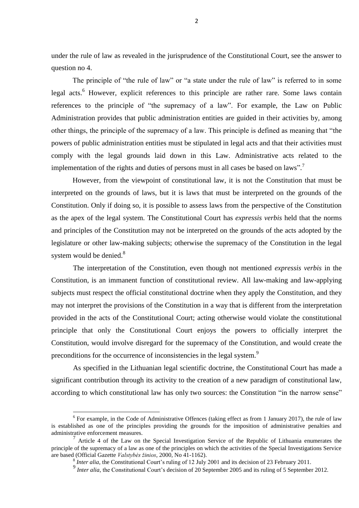under the rule of law as revealed in the jurisprudence of the Constitutional Court, see the answer to question no 4.

The principle of "the rule of law" or "a state under the rule of law" is referred to in some legal acts.<sup>6</sup> However, explicit references to this principle are rather rare. Some laws contain references to the principle of "the supremacy of a law". For example, the Law on Public Administration provides that public administration entities are guided in their activities by, among other things, the principle of the supremacy of a law. This principle is defined as meaning that "the powers of public administration entities must be stipulated in legal acts and that their activities must comply with the legal grounds laid down in this Law. Administrative acts related to the implementation of the rights and duties of persons must in all cases be based on laws".<sup>7</sup>

However, from the viewpoint of constitutional law, it is not the Constitution that must be interpreted on the grounds of laws, but it is laws that must be interpreted on the grounds of the Constitution. Only if doing so, it is possible to assess laws from the perspective of the Constitution as the apex of the legal system. The Constitutional Court has *expressis verbis* held that the norms and principles of the Constitution may not be interpreted on the grounds of the acts adopted by the legislature or other law-making subjects; otherwise the supremacy of the Constitution in the legal system would be denied.<sup>8</sup>

The interpretation of the Constitution, even though not mentioned *expressis verbis* in the Constitution, is an immanent function of constitutional review. All law-making and law-applying subjects must respect the official constitutional doctrine when they apply the Constitution, and they may not interpret the provisions of the Constitution in a way that is different from the interpretation provided in the acts of the Constitutional Court; acting otherwise would violate the constitutional principle that only the Constitutional Court enjoys the powers to officially interpret the Constitution, would involve disregard for the supremacy of the Constitution, and would create the preconditions for the occurrence of inconsistencies in the legal system.<sup>9</sup>

As specified in the Lithuanian legal scientific doctrine, the Constitutional Court has made a significant contribution through its activity to the creation of a new paradigm of constitutional law, according to which constitutional law has only two sources: the Constitution "in the narrow sense"

<sup>&</sup>lt;sup>6</sup> For example, in the Code of Administrative Offences (taking effect as from 1 January 2017), the rule of law is established as one of the principles providing the grounds for the imposition of administrative penalties and administrative enforcement measures.

 $<sup>7</sup>$  Article 4 of the Law on the Special Investigation Service of the Republic of Lithuania enumerates the</sup> principle of the supremacy of a law as one of the principles on which the activities of the Special Investigations Service are based (Official Gazette *Valstybės žinios*, 2000, No 41-1162).

<sup>&</sup>lt;sup>8</sup> *Inter alia*, the Constitutional Court's ruling of 12 July 2001 and its decision of 23 February 2011.

<sup>&</sup>lt;sup>9</sup> *Inter alia*, the Constitutional Court's decision of 20 September 2005 and its ruling of 5 September 2012.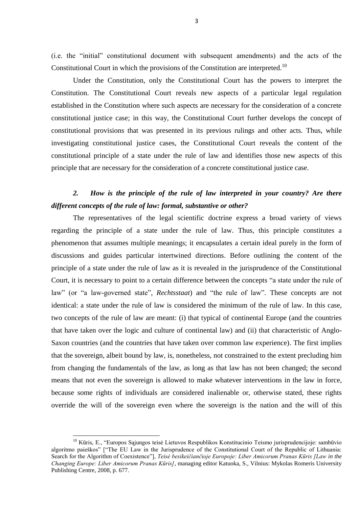(i.e. the "initial" constitutional document with subsequent amendments) and the acts of the Constitutional Court in which the provisions of the Constitution are interpreted.<sup>10</sup>

Under the Constitution, only the Constitutional Court has the powers to interpret the Constitution. The Constitutional Court reveals new aspects of a particular legal regulation established in the Constitution where such aspects are necessary for the consideration of a concrete constitutional justice case; in this way, the Constitutional Court further develops the concept of constitutional provisions that was presented in its previous rulings and other acts. Thus, while investigating constitutional justice cases, the Constitutional Court reveals the content of the constitutional principle of a state under the rule of law and identifies those new aspects of this principle that are necessary for the consideration of a concrete constitutional justice case.

#### *2. How is the principle of the rule of law interpreted in your country? Are there different concepts of the rule of law: formal, substantive or other?*

The representatives of the legal scientific doctrine express a broad variety of views regarding the principle of a state under the rule of law. Thus, this principle constitutes a phenomenon that assumes multiple meanings; it encapsulates a certain ideal purely in the form of discussions and guides particular intertwined directions. Before outlining the content of the principle of a state under the rule of law as it is revealed in the jurisprudence of the Constitutional Court, it is necessary to point to a certain difference between the concepts "a state under the rule of law" (or "a law-governed state", *Rechtsstaat*) and "the rule of law". These concepts are not identical: a state under the rule of law is considered the minimum of the rule of law. In this case, two concepts of the rule of law are meant: (i) that typical of continental Europe (and the countries that have taken over the logic and culture of continental law) and (ii) that characteristic of Anglo-Saxon countries (and the countries that have taken over common law experience). The first implies that the sovereign, albeit bound by law, is, nonetheless, not constrained to the extent precluding him from changing the fundamentals of the law, as long as that law has not been changed; the second means that not even the sovereign is allowed to make whatever interventions in the law in force, because some rights of individuals are considered inalienable or, otherwise stated, these rights override the will of the sovereign even where the sovereign is the nation and the will of this

 $10$  Kūris, E., "Europos Sąjungos teisė Lietuvos Respublikos Konstitucinio Teismo jurisprudencijoje: sambūvio algoritmo paieškos" ["The EU Law in the Jurisprudence of the Constitutional Court of the Republic of Lithuania: Search for the Algorithm of Coexistence"], *Teisė besikeičiančioje Europoje: Liber Amicorum Pranas Kūris [Law in the Changing Europe: Liber Amicorum Pranas Kūris]*, managing editor Katuoka, S., Vilnius: Mykolas Romeris University Publishing Centre, 2008, p. 677.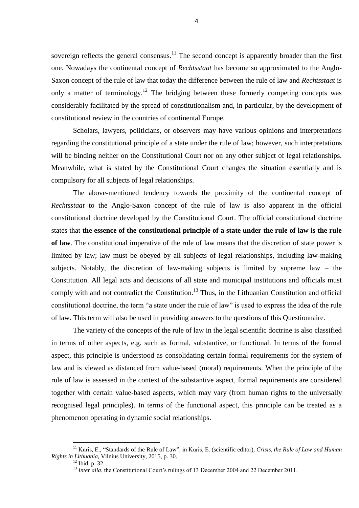sovereign reflects the general consensus.<sup>11</sup> The second concept is apparently broader than the first one. Nowadays the continental concept of *Rechtsstaat* has become so approximated to the Anglo-Saxon concept of the rule of law that today the difference between the rule of law and *Rechtsstaat* is only a matter of terminology.<sup>12</sup> The bridging between these formerly competing concepts was considerably facilitated by the spread of constitutionalism and, in particular, by the development of constitutional review in the countries of continental Europe.

Scholars, lawyers, politicians, or observers may have various opinions and interpretations regarding the constitutional principle of a state under the rule of law; however, such interpretations will be binding neither on the Constitutional Court nor on any other subject of legal relationships. Meanwhile, what is stated by the Constitutional Court changes the situation essentially and is compulsory for all subjects of legal relationships.

The above-mentioned tendency towards the proximity of the continental concept of *Rechtsstaat* to the Anglo-Saxon concept of the rule of law is also apparent in the official constitutional doctrine developed by the Constitutional Court. The official constitutional doctrine states that **the essence of the constitutional principle of a state under the rule of law is the rule of law**. The constitutional imperative of the rule of law means that the discretion of state power is limited by law; law must be obeyed by all subjects of legal relationships, including law-making subjects. Notably, the discretion of law-making subjects is limited by supreme law – the Constitution. All legal acts and decisions of all state and municipal institutions and officials must comply with and not contradict the Constitution.<sup>13</sup> Thus, in the Lithuanian Constitution and official constitutional doctrine, the term "a state under the rule of law" is used to express the idea of the rule of law. This term will also be used in providing answers to the questions of this Questionnaire.

The variety of the concepts of the rule of law in the legal scientific doctrine is also classified in terms of other aspects, e.g. such as formal, substantive, or functional. In terms of the formal aspect, this principle is understood as consolidating certain formal requirements for the system of law and is viewed as distanced from value-based (moral) requirements. When the principle of the rule of law is assessed in the context of the substantive aspect, formal requirements are considered together with certain value-based aspects, which may vary (from human rights to the universally recognised legal principles). In terms of the functional aspect, this principle can be treated as a phenomenon operating in dynamic social relationships.

<sup>11</sup> Kūris, E., "Standards of the Rule of Law", in Kūris, E. (scientific editor), *Crisis, the Rule of Law and Human Rights in Lithuania*, Vilnius University, 2015, p. 30.

 $12$  Ibid, p. 32.

<sup>&</sup>lt;sup>13</sup> *Inter alia*, the Constitutional Court's rulings of 13 December 2004 and 22 December 2011.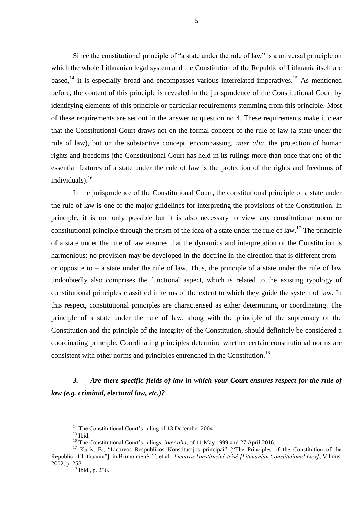Since the constitutional principle of "a state under the rule of law" is a universal principle on which the whole Lithuanian legal system and the Constitution of the Republic of Lithuania itself are based, $^{14}$  it is especially broad and encompasses various interrelated imperatives.<sup>15</sup> As mentioned before, the content of this principle is revealed in the jurisprudence of the Constitutional Court by identifying elements of this principle or particular requirements stemming from this principle. Most of these requirements are set out in the answer to question no 4. These requirements make it clear that the Constitutional Court draws not on the formal concept of the rule of law (a state under the rule of law), but on the substantive concept, encompassing, *inter alia*, the protection of human rights and freedoms (the Constitutional Court has held in its rulings more than once that one of the essential features of a state under the rule of law is the protection of the rights and freedoms of individuals).<sup>16</sup>

In the jurisprudence of the Constitutional Court, the constitutional principle of a state under the rule of law is one of the major guidelines for interpreting the provisions of the Constitution. In principle, it is not only possible but it is also necessary to view any constitutional norm or constitutional principle through the prism of the idea of a state under the rule of law.<sup>17</sup> The principle of a state under the rule of law ensures that the dynamics and interpretation of the Constitution is harmonious: no provision may be developed in the doctrine in the direction that is different from – or opposite to  $-$  a state under the rule of law. Thus, the principle of a state under the rule of law undoubtedly also comprises the functional aspect, which is related to the existing typology of constitutional principles classified in terms of the extent to which they guide the system of law. In this respect, constitutional principles are characterised as either determining or coordinating. The principle of a state under the rule of law, along with the principle of the supremacy of the Constitution and the principle of the integrity of the Constitution, should definitely be considered a coordinating principle. Coordinating principles determine whether certain constitutional norms are consistent with other norms and principles entrenched in the Constitution.<sup>18</sup>

*3. Are there specific fields of law in which your Court ensures respect for the rule of law (e.g. criminal, electoral law, etc.)?*

<sup>&</sup>lt;sup>14</sup> The Constitutional Court's ruling of 13 December 2004.

 $15$  Ibid.

<sup>&</sup>lt;sup>16</sup> The Constitutional Court's rulings, *inter alia*, of 11 May 1999 and 27 April 2016.

<sup>&</sup>lt;sup>17</sup> Kūris, E., "Lietuvos Respublikos Konstitucijos principai" ["The Principles of the Constitution of the Republic of Lithuania"], in Birmontienė, T. et al., *Lietuvos konstitucinė teisė [Lithuanian Constitutional Law]*, Vilnius, 2002, p. 253.

<sup>18</sup> Ibid., p. 236.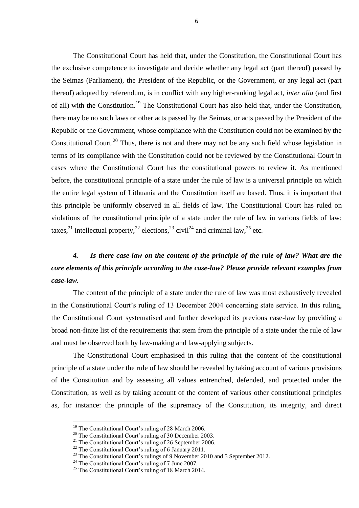The Constitutional Court has held that, under the Constitution, the Constitutional Court has the exclusive competence to investigate and decide whether any legal act (part thereof) passed by the Seimas (Parliament), the President of the Republic, or the Government, or any legal act (part thereof) adopted by referendum, is in conflict with any higher-ranking legal act, *inter alia* (and first of all) with the Constitution.<sup>19</sup> The Constitutional Court has also held that, under the Constitution, there may be no such laws or other acts passed by the Seimas, or acts passed by the President of the Republic or the Government, whose compliance with the Constitution could not be examined by the Constitutional Court.<sup>20</sup> Thus, there is not and there may not be any such field whose legislation in terms of its compliance with the Constitution could not be reviewed by the Constitutional Court in cases where the Constitutional Court has the constitutional powers to review it. As mentioned before, the constitutional principle of a state under the rule of law is a universal principle on which the entire legal system of Lithuania and the Constitution itself are based. Thus, it is important that this principle be uniformly observed in all fields of law. The Constitutional Court has ruled on violations of the constitutional principle of a state under the rule of law in various fields of law: taxes,<sup>21</sup> intellectual property,<sup>22</sup> elections,<sup>23</sup> civil<sup>24</sup> and criminal law,<sup>25</sup> etc.

# *4. Is there case-law on the content of the principle of the rule of law? What are the core elements of this principle according to the case-law? Please provide relevant examples from case-law.*

The content of the principle of a state under the rule of law was most exhaustively revealed in the Constitutional Court's ruling of 13 December 2004 concerning state service. In this ruling, the Constitutional Court systematised and further developed its previous case-law by providing a broad non-finite list of the requirements that stem from the principle of a state under the rule of law and must be observed both by law-making and law-applying subjects.

The Constitutional Court emphasised in this ruling that the content of the constitutional principle of a state under the rule of law should be revealed by taking account of various provisions of the Constitution and by assessing all values entrenched, defended, and protected under the Constitution, as well as by taking account of the content of various other constitutional principles as, for instance: the principle of the supremacy of the Constitution, its integrity, and direct

<sup>&</sup>lt;sup>19</sup> The Constitutional Court's ruling of 28 March 2006.

<sup>&</sup>lt;sup>20</sup> The Constitutional Court's ruling of 30 December 2003.

<sup>&</sup>lt;sup>21</sup> The Constitutional Court's ruling of 26 September 2006.

<sup>&</sup>lt;sup>22</sup> The Constitutional Court's ruling of 6 January 2011.

<sup>&</sup>lt;sup>23</sup> The Constitutional Court's rulings of 9 November 2010 and 5 September 2012.

<sup>&</sup>lt;sup>24</sup> The Constitutional Court's ruling of 7 June 2007.

<sup>&</sup>lt;sup>25</sup> The Constitutional Court's ruling of 18 March 2014.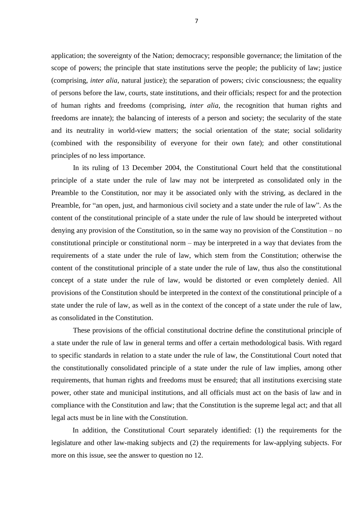application; the sovereignty of the Nation; democracy; responsible governance; the limitation of the scope of powers; the principle that state institutions serve the people; the publicity of law; justice (comprising, *inter alia*, natural justice); the separation of powers; civic consciousness; the equality of persons before the law, courts, state institutions, and their officials; respect for and the protection of human rights and freedoms (comprising, *inter alia*, the recognition that human rights and freedoms are innate); the balancing of interests of a person and society; the secularity of the state and its neutrality in world-view matters; the social orientation of the state; social solidarity (combined with the responsibility of everyone for their own fate); and other constitutional principles of no less importance.

In its ruling of 13 December 2004, the Constitutional Court held that the constitutional principle of a state under the rule of law may not be interpreted as consolidated only in the Preamble to the Constitution, nor may it be associated only with the striving, as declared in the Preamble, for "an open, just, and harmonious civil society and a state under the rule of law". As the content of the constitutional principle of a state under the rule of law should be interpreted without denying any provision of the Constitution, so in the same way no provision of the Constitution – no constitutional principle or constitutional norm – may be interpreted in a way that deviates from the requirements of a state under the rule of law, which stem from the Constitution; otherwise the content of the constitutional principle of a state under the rule of law, thus also the constitutional concept of a state under the rule of law, would be distorted or even completely denied. All provisions of the Constitution should be interpreted in the context of the constitutional principle of a state under the rule of law, as well as in the context of the concept of a state under the rule of law, as consolidated in the Constitution.

These provisions of the official constitutional doctrine define the constitutional principle of a state under the rule of law in general terms and offer a certain methodological basis. With regard to specific standards in relation to a state under the rule of law, the Constitutional Court noted that the constitutionally consolidated principle of a state under the rule of law implies, among other requirements, that human rights and freedoms must be ensured; that all institutions exercising state power, other state and municipal institutions, and all officials must act on the basis of law and in compliance with the Constitution and law; that the Constitution is the supreme legal act; and that all legal acts must be in line with the Constitution.

In addition, the Constitutional Court separately identified: (1) the requirements for the legislature and other law-making subjects and (2) the requirements for law-applying subjects. For more on this issue, see the answer to question no 12.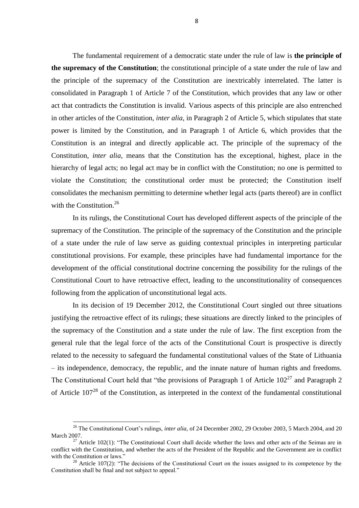The fundamental requirement of a democratic state under the rule of law is **the principle of the supremacy of the Constitution**; the constitutional principle of a state under the rule of law and the principle of the supremacy of the Constitution are inextricably interrelated. The latter is consolidated in Paragraph 1 of Article 7 of the Constitution, which provides that any law or other act that contradicts the Constitution is invalid. Various aspects of this principle are also entrenched in other articles of the Constitution, *inter alia*, in Paragraph 2 of Article 5, which stipulates that state power is limited by the Constitution, and in Paragraph 1 of Article 6, which provides that the Constitution is an integral and directly applicable act. The principle of the supremacy of the Constitution, *inter alia*, means that the Constitution has the exceptional, highest, place in the hierarchy of legal acts; no legal act may be in conflict with the Constitution; no one is permitted to violate the Constitution; the constitutional order must be protected; the Constitution itself consolidates the mechanism permitting to determine whether legal acts (parts thereof) are in conflict with the Constitution. $26$ 

In its rulings, the Constitutional Court has developed different aspects of the principle of the supremacy of the Constitution. The principle of the supremacy of the Constitution and the principle of a state under the rule of law serve as guiding contextual principles in interpreting particular constitutional provisions. For example, these principles have had fundamental importance for the development of the official constitutional doctrine concerning the possibility for the rulings of the Constitutional Court to have retroactive effect, leading to the unconstitutionality of consequences following from the application of unconstitutional legal acts.

In its decision of 19 December 2012, the Constitutional Court singled out three situations justifying the retroactive effect of its rulings; these situations are directly linked to the principles of the supremacy of the Constitution and a state under the rule of law. The first exception from the general rule that the legal force of the acts of the Constitutional Court is prospective is directly related to the necessity to safeguard the fundamental constitutional values of the State of Lithuania – its independence, democracy, the republic, and the innate nature of human rights and freedoms. The Constitutional Court held that "the provisions of Paragraph 1 of Article  $102^{27}$  and Paragraph 2 of Article 107<sup>28</sup> of the Constitution, as interpreted in the context of the fundamental constitutional

<sup>&</sup>lt;sup>26</sup> The Constitutional Court's rulings, *inter alia*, of 24 December 2002, 29 October 2003, 5 March 2004, and 20 March 2007.

<sup>&</sup>lt;sup>27</sup> Article 102(1): "The Constitutional Court shall decide whether the laws and other acts of the Seimas are in conflict with the Constitution, and whether the acts of the President of the Republic and the Government are in conflict with the Constitution or laws."

 $28$  Article 107(2): "The decisions of the Constitutional Court on the issues assigned to its competence by the Constitution shall be final and not subject to appeal."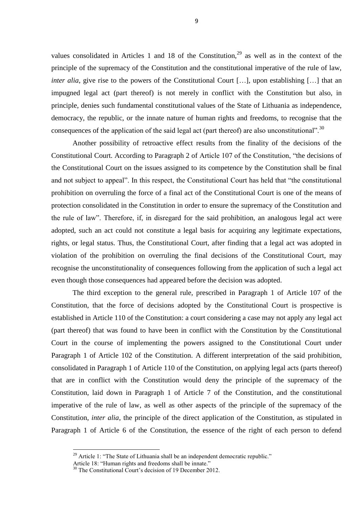values consolidated in Articles 1 and 18 of the Constitution,  $2^9$  as well as in the context of the principle of the supremacy of the Constitution and the constitutional imperative of the rule of law, *inter alia*, give rise to the powers of the Constitutional Court [...], upon establishing [...] that an impugned legal act (part thereof) is not merely in conflict with the Constitution but also, in principle, denies such fundamental constitutional values of the State of Lithuania as independence, democracy, the republic, or the innate nature of human rights and freedoms, to recognise that the consequences of the application of the said legal act (part thereof) are also unconstitutional".<sup>30</sup>

Another possibility of retroactive effect results from the finality of the decisions of the Constitutional Court. According to Paragraph 2 of Article 107 of the Constitution, "the decisions of the Constitutional Court on the issues assigned to its competence by the Constitution shall be final and not subject to appeal". In this respect, the Constitutional Court has held that "the constitutional prohibition on overruling the force of a final act of the Constitutional Court is one of the means of protection consolidated in the Constitution in order to ensure the supremacy of the Constitution and the rule of law". Therefore, if, in disregard for the said prohibition, an analogous legal act were adopted, such an act could not constitute a legal basis for acquiring any legitimate expectations, rights, or legal status. Thus, the Constitutional Court, after finding that a legal act was adopted in violation of the prohibition on overruling the final decisions of the Constitutional Court, may recognise the unconstitutionality of consequences following from the application of such a legal act even though those consequences had appeared before the decision was adopted.

The third exception to the general rule, prescribed in Paragraph 1 of Article 107 of the Constitution, that the force of decisions adopted by the Constitutional Court is prospective is established in Article 110 of the Constitution: a court considering a case may not apply any legal act (part thereof) that was found to have been in conflict with the Constitution by the Constitutional Court in the course of implementing the powers assigned to the Constitutional Court under Paragraph 1 of Article 102 of the Constitution. A different interpretation of the said prohibition, consolidated in Paragraph 1 of Article 110 of the Constitution, on applying legal acts (parts thereof) that are in conflict with the Constitution would deny the principle of the supremacy of the Constitution, laid down in Paragraph 1 of Article 7 of the Constitution, and the constitutional imperative of the rule of law, as well as other aspects of the principle of the supremacy of the Constitution, *inter alia*, the principle of the direct application of the Constitution, as stipulated in Paragraph 1 of Article 6 of the Constitution, the essence of the right of each person to defend

 $29$  Article 1: "The State of Lithuania shall be an independent democratic republic."

Article 18: "Human rights and freedoms shall be innate."

<sup>&</sup>lt;sup>30</sup> The Constitutional Court's decision of 19 December 2012.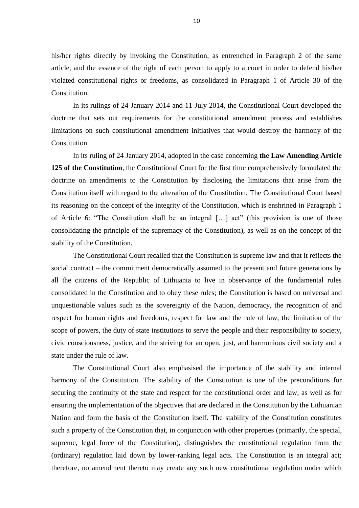his/her rights directly by invoking the Constitution, as entrenched in Paragraph 2 of the same article, and the essence of the right of each person to apply to a court in order to defend his/her violated constitutional rights or freedoms, as consolidated in Paragraph 1 of Article 30 of the Constitution.

In its rulings of 24 January 2014 and 11 July 2014, the Constitutional Court developed the doctrine that sets out requirements for the constitutional amendment process and establishes limitations on such constitutional amendment initiatives that would destroy the harmony of the Constitution.

In its ruling of 24 January 2014, adopted in the case concerning **the Law Amending Article 125 of the Constitution**, the Constitutional Court for the first time comprehensively formulated the doctrine on amendments to the Constitution by disclosing the limitations that arise from the Constitution itself with regard to the alteration of the Constitution. The Constitutional Court based its reasoning on the concept of the integrity of the Constitution, which is enshrined in Paragraph 1 of Article 6: "The Constitution shall be an integral […] act" (this provision is one of those consolidating the principle of the supremacy of the Constitution), as well as on the concept of the stability of the Constitution.

The Constitutional Court recalled that the Constitution is supreme law and that it reflects the social contract – the commitment democratically assumed to the present and future generations by all the citizens of the Republic of Lithuania to live in observance of the fundamental rules consolidated in the Constitution and to obey these rules; the Constitution is based on universal and unquestionable values such as the sovereignty of the Nation, democracy, the recognition of and respect for human rights and freedoms, respect for law and the rule of law, the limitation of the scope of powers, the duty of state institutions to serve the people and their responsibility to society, civic consciousness, justice, and the striving for an open, just, and harmonious civil society and a state under the rule of law.

The Constitutional Court also emphasised the importance of the stability and internal harmony of the Constitution. The stability of the Constitution is one of the preconditions for securing the continuity of the state and respect for the constitutional order and law, as well as for ensuring the implementation of the objectives that are declared in the Constitution by the Lithuanian Nation and form the basis of the Constitution itself. The stability of the Constitution constitutes such a property of the Constitution that, in conjunction with other properties (primarily, the special, supreme, legal force of the Constitution), distinguishes the constitutional regulation from the (ordinary) regulation laid down by lower-ranking legal acts. The Constitution is an integral act; therefore, no amendment thereto may create any such new constitutional regulation under which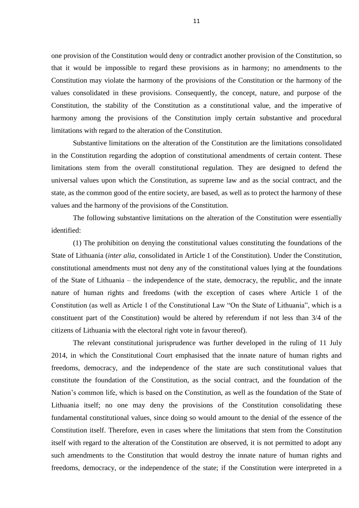one provision of the Constitution would deny or contradict another provision of the Constitution, so that it would be impossible to regard these provisions as in harmony; no amendments to the Constitution may violate the harmony of the provisions of the Constitution or the harmony of the values consolidated in these provisions. Consequently, the concept, nature, and purpose of the Constitution, the stability of the Constitution as a constitutional value, and the imperative of harmony among the provisions of the Constitution imply certain substantive and procedural limitations with regard to the alteration of the Constitution.

Substantive limitations on the alteration of the Constitution are the limitations consolidated in the Constitution regarding the adoption of constitutional amendments of certain content. These limitations stem from the overall constitutional regulation. They are designed to defend the universal values upon which the Constitution, as supreme law and as the social contract, and the state, as the common good of the entire society, are based, as well as to protect the harmony of these values and the harmony of the provisions of the Constitution.

The following substantive limitations on the alteration of the Constitution were essentially identified:

(1) The prohibition on denying the constitutional values constituting the foundations of the State of Lithuania (*inter alia*, consolidated in Article 1 of the Constitution). Under the Constitution, constitutional amendments must not deny any of the constitutional values lying at the foundations of the State of Lithuania – the independence of the state, democracy, the republic, and the innate nature of human rights and freedoms (with the exception of cases where Article 1 of the Constitution (as well as Article 1 of the Constitutional Law "On the State of Lithuania", which is a constituent part of the Constitution) would be altered by referendum if not less than 3/4 of the citizens of Lithuania with the electoral right vote in favour thereof).

The relevant constitutional jurisprudence was further developed in the ruling of 11 July 2014, in which the Constitutional Court emphasised that the innate nature of human rights and freedoms, democracy, and the independence of the state are such constitutional values that constitute the foundation of the Constitution, as the social contract, and the foundation of the Nation's common life, which is based on the Constitution, as well as the foundation of the State of Lithuania itself; no one may deny the provisions of the Constitution consolidating these fundamental constitutional values, since doing so would amount to the denial of the essence of the Constitution itself. Therefore, even in cases where the limitations that stem from the Constitution itself with regard to the alteration of the Constitution are observed, it is not permitted to adopt any such amendments to the Constitution that would destroy the innate nature of human rights and freedoms, democracy, or the independence of the state; if the Constitution were interpreted in a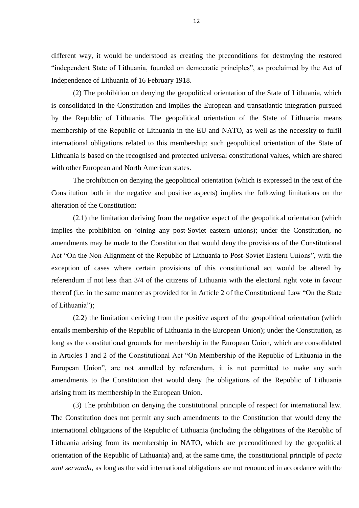different way, it would be understood as creating the preconditions for destroying the restored "independent State of Lithuania, founded on democratic principles", as proclaimed by the Act of Independence of Lithuania of 16 February 1918.

(2) The prohibition on denying the geopolitical orientation of the State of Lithuania, which is consolidated in the Constitution and implies the European and transatlantic integration pursued by the Republic of Lithuania. The geopolitical orientation of the State of Lithuania means membership of the Republic of Lithuania in the EU and NATO, as well as the necessity to fulfil international obligations related to this membership; such geopolitical orientation of the State of Lithuania is based on the recognised and protected universal constitutional values, which are shared with other European and North American states.

The prohibition on denying the geopolitical orientation (which is expressed in the text of the Constitution both in the negative and positive aspects) implies the following limitations on the alteration of the Constitution:

(2.1) the limitation deriving from the negative aspect of the geopolitical orientation (which implies the prohibition on joining any post-Soviet eastern unions); under the Constitution, no amendments may be made to the Constitution that would deny the provisions of the Constitutional Act "On the Non-Alignment of the Republic of Lithuania to Post-Soviet Eastern Unions", with the exception of cases where certain provisions of this constitutional act would be altered by referendum if not less than 3/4 of the citizens of Lithuania with the electoral right vote in favour thereof (i.e. in the same manner as provided for in Article 2 of the Constitutional Law "On the State of Lithuania");

(2.2) the limitation deriving from the positive aspect of the geopolitical orientation (which entails membership of the Republic of Lithuania in the European Union); under the Constitution, as long as the constitutional grounds for membership in the European Union, which are consolidated in Articles 1 and 2 of the Constitutional Act "On Membership of the Republic of Lithuania in the European Union", are not annulled by referendum, it is not permitted to make any such amendments to the Constitution that would deny the obligations of the Republic of Lithuania arising from its membership in the European Union.

(3) The prohibition on denying the constitutional principle of respect for international law. The Constitution does not permit any such amendments to the Constitution that would deny the international obligations of the Republic of Lithuania (including the obligations of the Republic of Lithuania arising from its membership in NATO, which are preconditioned by the geopolitical orientation of the Republic of Lithuania) and, at the same time, the constitutional principle of *pacta sunt servanda*, as long as the said international obligations are not renounced in accordance with the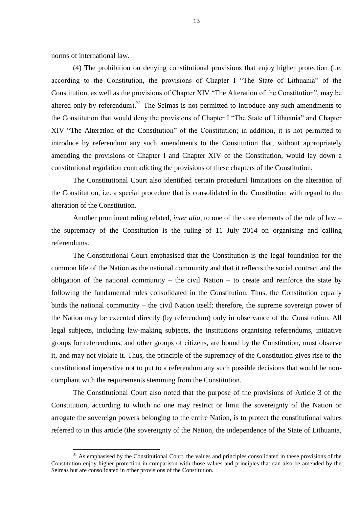norms of international law.

<u>.</u>

(4) The prohibition on denying constitutional provisions that enjoy higher protection (i.e. according to the Constitution, the provisions of Chapter I "The State of Lithuania" of the Constitution, as well as the provisions of Chapter XIV "The Alteration of the Constitution", may be altered only by referendum). $31$  The Seimas is not permitted to introduce any such amendments to the Constitution that would deny the provisions of Chapter I "The State of Lithuania" and Chapter XIV "The Alteration of the Constitution" of the Constitution; in addition, it is not permitted to introduce by referendum any such amendments to the Constitution that, without appropriately amending the provisions of Chapter I and Chapter XIV of the Constitution, would lay down a constitutional regulation contradicting the provisions of these chapters of the Constitution.

The Constitutional Court also identified certain procedural limitations on the alteration of the Constitution, i.e. a special procedure that is consolidated in the Constitution with regard to the alteration of the Constitution.

Another prominent ruling related, *inter alia*, to one of the core elements of the rule of law – the supremacy of the Constitution is the ruling of 11 July 2014 on organising and calling referendums.

The Constitutional Court emphasised that the Constitution is the legal foundation for the common life of the Nation as the national community and that it reflects the social contract and the obligation of the national community – the civil Nation – to create and reinforce the state by following the fundamental rules consolidated in the Constitution. Thus, the Constitution equally binds the national community – the civil Nation itself; therefore, the supreme sovereign power of the Nation may be executed directly (by referendum) only in observance of the Constitution. All legal subjects, including law-making subjects, the institutions organising referendums, initiative groups for referendums, and other groups of citizens, are bound by the Constitution, must observe it, and may not violate it. Thus, the principle of the supremacy of the Constitution gives rise to the constitutional imperative not to put to a referendum any such possible decisions that would be noncompliant with the requirements stemming from the Constitution.

The Constitutional Court also noted that the purpose of the provisions of Article 3 of the Constitution, according to which no one may restrict or limit the sovereignty of the Nation or arrogate the sovereign powers belonging to the entire Nation, is to protect the constitutional values referred to in this article (the sovereignty of the Nation, the independence of the State of Lithuania,

 $31$  As emphasised by the Constitutional Court, the values and principles consolidated in these provisions of the Constitution enjoy higher protection in comparison with those values and principles that can also be amended by the Seimas but are consolidated in other provisions of the Constitution.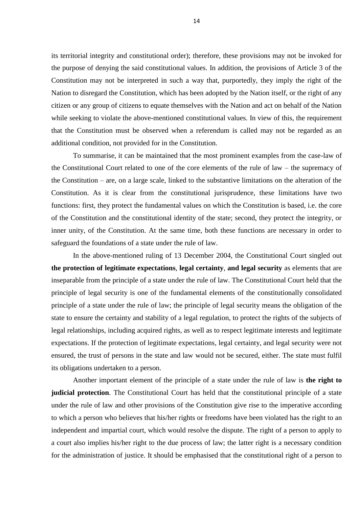its territorial integrity and constitutional order); therefore, these provisions may not be invoked for the purpose of denying the said constitutional values. In addition, the provisions of Article 3 of the Constitution may not be interpreted in such a way that, purportedly, they imply the right of the Nation to disregard the Constitution, which has been adopted by the Nation itself, or the right of any citizen or any group of citizens to equate themselves with the Nation and act on behalf of the Nation while seeking to violate the above-mentioned constitutional values. In view of this, the requirement that the Constitution must be observed when a referendum is called may not be regarded as an additional condition, not provided for in the Constitution.

To summarise, it can be maintained that the most prominent examples from the case-law of the Constitutional Court related to one of the core elements of the rule of law – the supremacy of the Constitution – are, on a large scale, linked to the substantive limitations on the alteration of the Constitution. As it is clear from the constitutional jurisprudence, these limitations have two functions: first, they protect the fundamental values on which the Constitution is based, i.e. the core of the Constitution and the constitutional identity of the state; second, they protect the integrity, or inner unity, of the Constitution. At the same time, both these functions are necessary in order to safeguard the foundations of a state under the rule of law.

In the above-mentioned ruling of 13 December 2004, the Constitutional Court singled out **the protection of legitimate expectations**, **legal certainty**, **and legal security** as elements that are inseparable from the principle of a state under the rule of law. The Constitutional Court held that the principle of legal security is one of the fundamental elements of the constitutionally consolidated principle of a state under the rule of law; the principle of legal security means the obligation of the state to ensure the certainty and stability of a legal regulation, to protect the rights of the subjects of legal relationships, including acquired rights, as well as to respect legitimate interests and legitimate expectations. If the protection of legitimate expectations, legal certainty, and legal security were not ensured, the trust of persons in the state and law would not be secured, either. The state must fulfil its obligations undertaken to a person.

Another important element of the principle of a state under the rule of law is **the right to judicial protection**. The Constitutional Court has held that the constitutional principle of a state under the rule of law and other provisions of the Constitution give rise to the imperative according to which a person who believes that his/her rights or freedoms have been violated has the right to an independent and impartial court, which would resolve the dispute. The right of a person to apply to a court also implies his/her right to the due process of law; the latter right is a necessary condition for the administration of justice. It should be emphasised that the constitutional right of a person to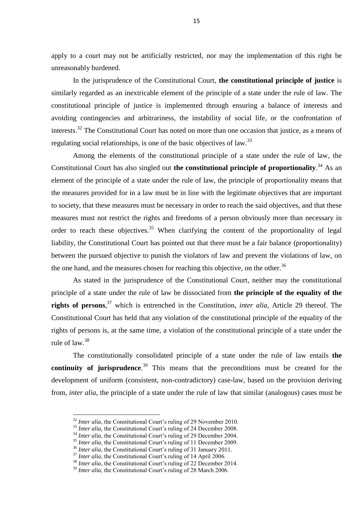apply to a court may not be artificially restricted, nor may the implementation of this right be unreasonably burdened.

In the jurisprudence of the Constitutional Court, **the constitutional principle of justice** is similarly regarded as an inextricable element of the principle of a state under the rule of law. The constitutional principle of justice is implemented through ensuring a balance of interests and avoiding contingencies and arbitrariness, the instability of social life, or the confrontation of interests.<sup>32</sup> The Constitutional Court has noted on more than one occasion that justice, as a means of regulating social relationships, is one of the basic objectives of law.<sup>33</sup>

Among the elements of the constitutional principle of a state under the rule of law, the Constitutional Court has also singled out **the constitutional principle of proportionality**. <sup>34</sup> As an element of the principle of a state under the rule of law, the principle of proportionality means that the measures provided for in a law must be in line with the legitimate objectives that are important to society, that these measures must be necessary in order to reach the said objectives, and that these measures must not restrict the rights and freedoms of a person obviously more than necessary in order to reach these objectives.<sup>35</sup> When clarifying the content of the proportionality of legal liability, the Constitutional Court has pointed out that there must be a fair balance (proportionality) between the pursued objective to punish the violators of law and prevent the violations of law, on the one hand, and the measures chosen for reaching this objective, on the other.<sup>36</sup>

As stated in the jurisprudence of the Constitutional Court, neither may the constitutional principle of a state under the rule of law be dissociated from **the principle of the equality of the rights of persons**, <sup>37</sup> which is entrenched in the Constitution, *inter alia*, Article 29 thereof. The Constitutional Court has held that any violation of the constitutional principle of the equality of the rights of persons is, at the same time, a violation of the constitutional principle of a state under the rule of law. 38

The constitutionally consolidated principle of a state under the rule of law entails **the continuity of jurisprudence**. <sup>39</sup> This means that the preconditions must be created for the development of uniform (consistent, non-contradictory) case-law, based on the provision deriving from, *inter alia*, the principle of a state under the rule of law that similar (analogous) cases must be

<sup>&</sup>lt;sup>32</sup> *Inter alia*, the Constitutional Court's ruling of 29 November 2010.

<sup>&</sup>lt;sup>33</sup> *Inter alia*, the Constitutional Court's ruling of 24 December 2008.

<sup>&</sup>lt;sup>34</sup> *Inter alia*, the Constitutional Court's ruling of 29 December 2004.

<sup>&</sup>lt;sup>35</sup> *Inter alia*, the Constitutional Court's ruling of 11 December 2009.

<sup>&</sup>lt;sup>36</sup> Inter alia, the Constitutional Court's ruling of 31 January 2011.

<sup>&</sup>lt;sup>37</sup> *Inter alia*, the Constitutional Court's ruling of 14 April 2006.

<sup>&</sup>lt;sup>38</sup> *Inter alia*, the Constitutional Court's ruling of 22 December 2014.

<sup>&</sup>lt;sup>39</sup> *Inter alia*, the Constitutional Court's ruling of 28 March 2006.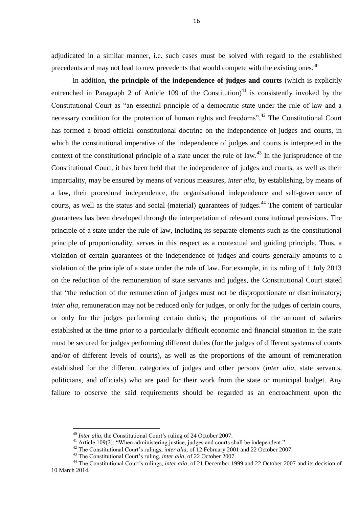adjudicated in a similar manner, i.e. such cases must be solved with regard to the established precedents and may not lead to new precedents that would compete with the existing ones.<sup>40</sup>

In addition, **the principle of the independence of judges and courts** (which is explicitly entrenched in Paragraph 2 of Article 109 of the Constitution)<sup>41</sup> is consistently invoked by the Constitutional Court as "an essential principle of a democratic state under the rule of law and a necessary condition for the protection of human rights and freedoms".<sup>42</sup> The Constitutional Court has formed a broad official constitutional doctrine on the independence of judges and courts, in which the constitutional imperative of the independence of judges and courts is interpreted in the context of the constitutional principle of a state under the rule of law.<sup>43</sup> In the jurisprudence of the Constitutional Court, it has been held that the independence of judges and courts, as well as their impartiality, may be ensured by means of various measures, *inter alia*, by establishing, by means of a law, their procedural independence, the organisational independence and self-governance of courts, as well as the status and social (material) guarantees of judges.<sup>44</sup> The content of particular guarantees has been developed through the interpretation of relevant constitutional provisions. The principle of a state under the rule of law, including its separate elements such as the constitutional principle of proportionality, serves in this respect as a contextual and guiding principle. Thus, a violation of certain guarantees of the independence of judges and courts generally amounts to a violation of the principle of a state under the rule of law. For example, in its ruling of 1 July 2013 on the reduction of the remuneration of state servants and judges, the Constitutional Court stated that "the reduction of the remuneration of judges must not be disproportionate or discriminatory; *inter alia*, remuneration may not be reduced only for judges, or only for the judges of certain courts, or only for the judges performing certain duties; the proportions of the amount of salaries established at the time prior to a particularly difficult economic and financial situation in the state must be secured for judges performing different duties (for the judges of different systems of courts and/or of different levels of courts), as well as the proportions of the amount of remuneration established for the different categories of judges and other persons (*inter alia*, state servants, politicians, and officials) who are paid for their work from the state or municipal budget. Any failure to observe the said requirements should be regarded as an encroachment upon the

<sup>40</sup> *Inter alia*, the Constitutional Court's ruling of 24 October 2007.

<sup>&</sup>lt;sup>41</sup> Article 109(2): "When administering justice, judges and courts shall be independent."

<sup>&</sup>lt;sup>42</sup> The Constitutional Court's rulings, *inter alia*, of 12 February 2001 and 22 October 2007.

<sup>43</sup> The Constitutional Court's ruling, *inter alia*, of 22 October 2007.

<sup>&</sup>lt;sup>44</sup> The Constitutional Court's rulings, *inter alia*, of 21 December 1999 and 22 October 2007 and its decision of 10 March 2014.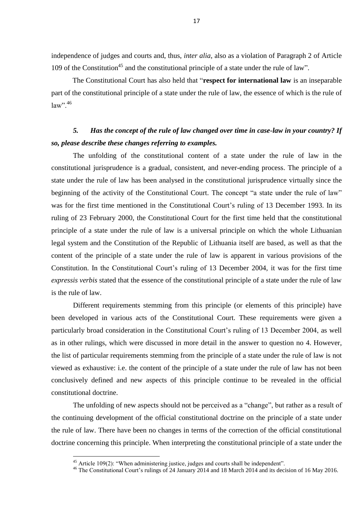independence of judges and courts and, thus, *inter alia*, also as a violation of Paragraph 2 of Article 109 of the Constitution<sup>45</sup> and the constitutional principle of a state under the rule of law".

The Constitutional Court has also held that "**respect for international law** is an inseparable part of the constitutional principle of a state under the rule of law, the essence of which is the rule of  $law$ ".  $46$ 

## *5. Has the concept of the rule of law changed over time in case-law in your country? If so, please describe these changes referring to examples.*

The unfolding of the constitutional content of a state under the rule of law in the constitutional jurisprudence is a gradual, consistent, and never-ending process. The principle of a state under the rule of law has been analysed in the constitutional jurisprudence virtually since the beginning of the activity of the Constitutional Court. The concept "a state under the rule of law" was for the first time mentioned in the Constitutional Court's ruling of 13 December 1993. In its ruling of 23 February 2000, the Constitutional Court for the first time held that the constitutional principle of a state under the rule of law is a universal principle on which the whole Lithuanian legal system and the Constitution of the Republic of Lithuania itself are based, as well as that the content of the principle of a state under the rule of law is apparent in various provisions of the Constitution. In the Constitutional Court's ruling of 13 December 2004, it was for the first time *expressis verbis* stated that the essence of the constitutional principle of a state under the rule of law is the rule of law.

Different requirements stemming from this principle (or elements of this principle) have been developed in various acts of the Constitutional Court. These requirements were given a particularly broad consideration in the Constitutional Court's ruling of 13 December 2004, as well as in other rulings, which were discussed in more detail in the answer to question no 4. However, the list of particular requirements stemming from the principle of a state under the rule of law is not viewed as exhaustive: i.e. the content of the principle of a state under the rule of law has not been conclusively defined and new aspects of this principle continue to be revealed in the official constitutional doctrine.

The unfolding of new aspects should not be perceived as a "change", but rather as a result of the continuing development of the official constitutional doctrine on the principle of a state under the rule of law. There have been no changes in terms of the correction of the official constitutional doctrine concerning this principle. When interpreting the constitutional principle of a state under the

 $45$  Article 109(2): "When administering justice, judges and courts shall be independent".

<sup>&</sup>lt;sup>46</sup> The Constitutional Court's rulings of 24 January 2014 and 18 March 2014 and its decision of 16 May 2016.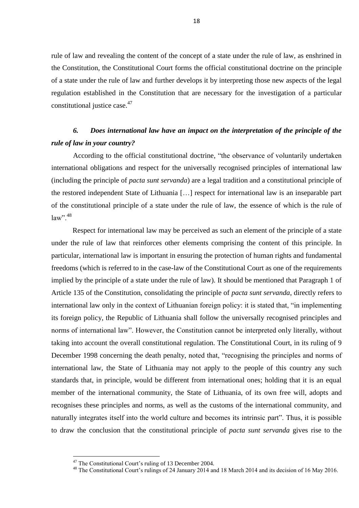rule of law and revealing the content of the concept of a state under the rule of law, as enshrined in the Constitution, the Constitutional Court forms the official constitutional doctrine on the principle of a state under the rule of law and further develops it by interpreting those new aspects of the legal regulation established in the Constitution that are necessary for the investigation of a particular constitutional justice case.<sup>47</sup>

### *6. Does international law have an impact on the interpretation of the principle of the rule of law in your country?*

According to the official constitutional doctrine, "the observance of voluntarily undertaken international obligations and respect for the universally recognised principles of international law (including the principle of *pacta sunt servanda*) are a legal tradition and a constitutional principle of the restored independent State of Lithuania […] respect for international law is an inseparable part of the constitutional principle of a state under the rule of law, the essence of which is the rule of  $law$ ".  $48$ 

Respect for international law may be perceived as such an element of the principle of a state under the rule of law that reinforces other elements comprising the content of this principle. In particular, international law is important in ensuring the protection of human rights and fundamental freedoms (which is referred to in the case-law of the Constitutional Court as one of the requirements implied by the principle of a state under the rule of law). It should be mentioned that Paragraph 1 of Article 135 of the Constitution, consolidating the principle of *pacta sunt servanda*, directly refers to international law only in the context of Lithuanian foreign policy: it is stated that, "in implementing its foreign policy, the Republic of Lithuania shall follow the universally recognised principles and norms of international law". However, the Constitution cannot be interpreted only literally, without taking into account the overall constitutional regulation. The Constitutional Court, in its ruling of 9 December 1998 concerning the death penalty, noted that, "recognising the principles and norms of international law, the State of Lithuania may not apply to the people of this country any such standards that, in principle, would be different from international ones; holding that it is an equal member of the international community, the State of Lithuania, of its own free will, adopts and recognises these principles and norms, as well as the customs of the international community, and naturally integrates itself into the world culture and becomes its intrinsic part". Thus, it is possible to draw the conclusion that the constitutional principle of *pacta sunt servanda* gives rise to the

 $47$  The Constitutional Court's ruling of 13 December 2004.

<sup>&</sup>lt;sup>48</sup> The Constitutional Court's rulings of 24 January 2014 and 18 March 2014 and its decision of 16 May 2016.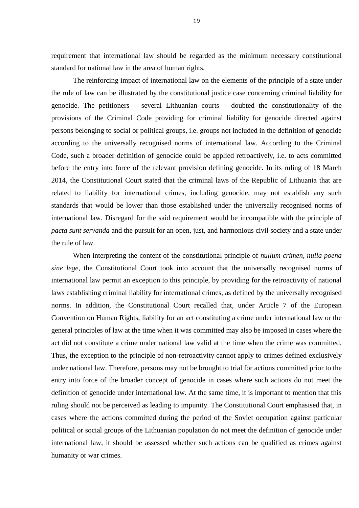requirement that international law should be regarded as the minimum necessary constitutional standard for national law in the area of human rights.

The reinforcing impact of international law on the elements of the principle of a state under the rule of law can be illustrated by the constitutional justice case concerning criminal liability for genocide. The petitioners – several Lithuanian courts – doubted the constitutionality of the provisions of the Criminal Code providing for criminal liability for genocide directed against persons belonging to social or political groups, i.e. groups not included in the definition of genocide according to the universally recognised norms of international law. According to the Criminal Code, such a broader definition of genocide could be applied retroactively, i.e. to acts committed before the entry into force of the relevant provision defining genocide. In its ruling of 18 March 2014, the Constitutional Court stated that the criminal laws of the Republic of Lithuania that are related to liability for international crimes, including genocide, may not establish any such standards that would be lower than those established under the universally recognised norms of international law. Disregard for the said requirement would be incompatible with the principle of *pacta sunt servanda* and the pursuit for an open, just, and harmonious civil society and a state under the rule of law.

When interpreting the content of the constitutional principle of *nullum crimen, nulla poena sine lege*, the Constitutional Court took into account that the universally recognised norms of international law permit an exception to this principle, by providing for the retroactivity of national laws establishing criminal liability for international crimes, as defined by the universally recognised norms. In addition, the Constitutional Court recalled that, under Article 7 of the European Convention on Human Rights, liability for an act constituting a crime under international law or the general principles of law at the time when it was committed may also be imposed in cases where the act did not constitute a crime under national law valid at the time when the crime was committed. Thus, the exception to the principle of non-retroactivity cannot apply to crimes defined exclusively under national law. Therefore, persons may not be brought to trial for actions committed prior to the entry into force of the broader concept of genocide in cases where such actions do not meet the definition of genocide under international law. At the same time, it is important to mention that this ruling should not be perceived as leading to impunity. The Constitutional Court emphasised that, in cases where the actions committed during the period of the Soviet occupation against particular political or social groups of the Lithuanian population do not meet the definition of genocide under international law, it should be assessed whether such actions can be qualified as crimes against humanity or war crimes.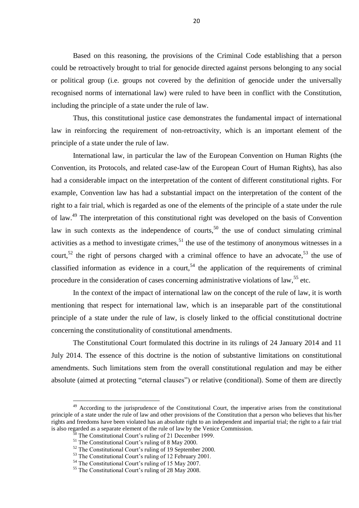Based on this reasoning, the provisions of the Criminal Code establishing that a person could be retroactively brought to trial for genocide directed against persons belonging to any social or political group (i.e. groups not covered by the definition of genocide under the universally recognised norms of international law) were ruled to have been in conflict with the Constitution, including the principle of a state under the rule of law.

Thus, this constitutional justice case demonstrates the fundamental impact of international law in reinforcing the requirement of non-retroactivity, which is an important element of the principle of a state under the rule of law.

International law, in particular the law of the European Convention on Human Rights (the Convention, its Protocols, and related case-law of the European Court of Human Rights), has also had a considerable impact on the interpretation of the content of different constitutional rights. For example, Convention law has had a substantial impact on the interpretation of the content of the right to a fair trial, which is regarded as one of the elements of the principle of a state under the rule of law.<sup>49</sup> The interpretation of this constitutional right was developed on the basis of Convention law in such contexts as the independence of courts,<sup>50</sup> the use of conduct simulating criminal activities as a method to investigate crimes,  $51$  the use of the testimony of anonymous witnesses in a court,<sup>52</sup> the right of persons charged with a criminal offence to have an advocate,<sup>53</sup> the use of classified information as evidence in a court.<sup>54</sup> the application of the requirements of criminal procedure in the consideration of cases concerning administrative violations of law,<sup>55</sup> etc.

In the context of the impact of international law on the concept of the rule of law, it is worth mentioning that respect for international law, which is an inseparable part of the constitutional principle of a state under the rule of law, is closely linked to the official constitutional doctrine concerning the constitutionality of constitutional amendments.

The Constitutional Court formulated this doctrine in its rulings of 24 January 2014 and 11 July 2014. The essence of this doctrine is the notion of substantive limitations on constitutional amendments. Such limitations stem from the overall constitutional regulation and may be either absolute (aimed at protecting "eternal clauses") or relative (conditional). Some of them are directly

<sup>&</sup>lt;sup>49</sup> According to the jurisprudence of the Constitutional Court, the imperative arises from the constitutional principle of a state under the rule of law and other provisions of the Constitution that a person who believes that his/her rights and freedoms have been violated has an absolute right to an independent and impartial trial; the right to a fair trial is also regarded as a separate element of the rule of law by the Venice Commission.

The Constitutional Court's ruling of 21 December 1999.

<sup>&</sup>lt;sup>51</sup> The Constitutional Court's ruling of 8 May 2000.

<sup>52</sup> The Constitutional Court's ruling of 19 September 2000.

<sup>&</sup>lt;sup>53</sup> The Constitutional Court's ruling of 12 February 2001.

<sup>&</sup>lt;sup>54</sup> The Constitutional Court's ruling of 15 May 2007.

<sup>&</sup>lt;sup>55</sup> The Constitutional Court's ruling of 28 May 2008.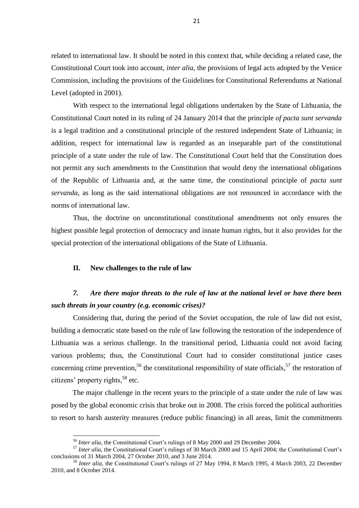related to international law. It should be noted in this context that, while deciding a related case, the Constitutional Court took into account, *inter alia*, the provisions of legal acts adopted by the Venice Commission, including the provisions of the Guidelines for Constitutional Referendums at National Level (adopted in 2001).

With respect to the international legal obligations undertaken by the State of Lithuania, the Constitutional Court noted in its ruling of 24 January 2014 that the principle *of pacta sunt servanda* is a legal tradition and a constitutional principle of the restored independent State of Lithuania; in addition, respect for international law is regarded as an inseparable part of the constitutional principle of a state under the rule of law. The Constitutional Court held that the Constitution does not permit any such amendments to the Constitution that would deny the international obligations of the Republic of Lithuania and, at the same time, the constitutional principle of *pacta sunt servanda*, as long as the said international obligations are not renounced in accordance with the norms of international law.

Thus, the doctrine on unconstitutional constitutional amendments not only ensures the highest possible legal protection of democracy and innate human rights, but it also provides for the special protection of the international obligations of the State of Lithuania.

#### **II. New challenges to the rule of law**

1

### *7. Are there major threats to the rule of law at the national level or have there been such threats in your country (e.g. economic crises)?*

Considering that, during the period of the Soviet occupation, the rule of law did not exist, building a democratic state based on the rule of law following the restoration of the independence of Lithuania was a serious challenge. In the transitional period, Lithuania could not avoid facing various problems; thus, the Constitutional Court had to consider constitutional justice cases concerning crime prevention,<sup>56</sup> the constitutional responsibility of state officials,<sup>57</sup> the restoration of citizens' property rights, <sup>58</sup> etc.

The major challenge in the recent years to the principle of a state under the rule of law was posed by the global economic crisis that broke out in 2008. The crisis forced the political authorities to resort to harsh austerity measures (reduce public financing) in all areas, limit the commitments

<sup>56</sup> *Inter alia*, the Constitutional Court's rulings of 8 May 2000 and 29 December 2004.

<sup>&</sup>lt;sup>57</sup> *Inter alia*, the Constitutional Court's rulings of 30 March 2000 and 15 April 2004; the Constitutional Court's conclusions of 31 March 2004, 27 October 2010, and 3 June 2014.

<sup>58</sup> *Inter alia*, the Constitutional Court's rulings of 27 May 1994, 8 March 1995, 4 March 2003, 22 December 2010, and 8 October 2014.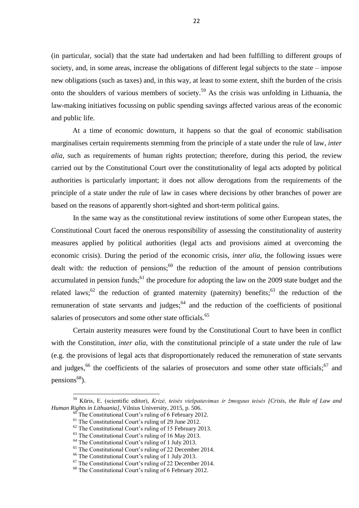(in particular, social) that the state had undertaken and had been fulfilling to different groups of society, and, in some areas, increase the obligations of different legal subjects to the state – impose new obligations (such as taxes) and, in this way, at least to some extent, shift the burden of the crisis onto the shoulders of various members of society. <sup>59</sup> As the crisis was unfolding in Lithuania, the law-making initiatives focussing on public spending savings affected various areas of the economic and public life.

At a time of economic downturn, it happens so that the goal of economic stabilisation marginalises certain requirements stemming from the principle of a state under the rule of law, *inter alia*, such as requirements of human rights protection; therefore, during this period, the review carried out by the Constitutional Court over the constitutionality of legal acts adopted by political authorities is particularly important; it does not allow derogations from the requirements of the principle of a state under the rule of law in cases where decisions by other branches of power are based on the reasons of apparently short-sighted and short-term political gains.

In the same way as the constitutional review institutions of some other European states, the Constitutional Court faced the onerous responsibility of assessing the constitutionality of austerity measures applied by political authorities (legal acts and provisions aimed at overcoming the economic crisis). During the period of the economic crisis, *inter alia*, the following issues were dealt with: the reduction of pensions;  $^{60}$  the reduction of the amount of pension contributions accumulated in pension funds;<sup>61</sup> the procedure for adopting the law on the 2009 state budget and the related laws;<sup>62</sup> the reduction of granted maternity (paternity) benefits;<sup>63</sup> the reduction of the remuneration of state servants and judges;<sup>64</sup> and the reduction of the coefficients of positional salaries of prosecutors and some other state officials.<sup>65</sup>

Certain austerity measures were found by the Constitutional Court to have been in conflict with the Constitution, *inter alia*, with the constitutional principle of a state under the rule of law (e.g. the provisions of legal acts that disproportionately reduced the remuneration of state servants and judges,<sup>66</sup> the coefficients of the salaries of prosecutors and some other state officials;<sup>67</sup> and pensions<sup>68</sup>).

<sup>59</sup> Kūris, E. (scientific editor), *Krizė, teisės viešpatavimas ir žmogaus teisės [Crisis, the Rule of Law and Human Rights in Lithuania]*, Vilnius University, 2015, p. 506.

The Constitutional Court's ruling of 6 February 2012.

<sup>&</sup>lt;sup>61</sup> The Constitutional Court's ruling of 29 June 2012.

 $62$  The Constitutional Court's ruling of 15 February 2013.

 $63$  The Constitutional Court's ruling of 16 May 2013.

<sup>64</sup> The Constitutional Court's ruling of 1 July 2013.

<sup>&</sup>lt;sup>65</sup> The Constitutional Court's ruling of 22 December 2014.

<sup>66</sup> The Constitutional Court's ruling of 1 July 2013.

<sup>67</sup> The Constitutional Court's ruling of 22 December 2014.

<sup>&</sup>lt;sup>68</sup> The Constitutional Court's ruling of 6 February 2012.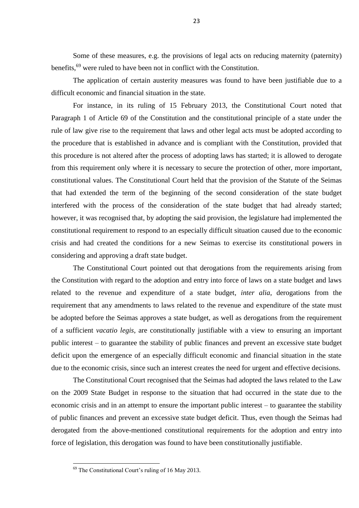Some of these measures, e.g. the provisions of legal acts on reducing maternity (paternity) benefits,<sup>69</sup> were ruled to have been not in conflict with the Constitution.

The application of certain austerity measures was found to have been justifiable due to a difficult economic and financial situation in the state.

For instance, in its ruling of 15 February 2013, the Constitutional Court noted that Paragraph 1 of Article 69 of the Constitution and the constitutional principle of a state under the rule of law give rise to the requirement that laws and other legal acts must be adopted according to the procedure that is established in advance and is compliant with the Constitution, provided that this procedure is not altered after the process of adopting laws has started; it is allowed to derogate from this requirement only where it is necessary to secure the protection of other, more important, constitutional values. The Constitutional Court held that the provision of the Statute of the Seimas that had extended the term of the beginning of the second consideration of the state budget interfered with the process of the consideration of the state budget that had already started; however, it was recognised that, by adopting the said provision, the legislature had implemented the constitutional requirement to respond to an especially difficult situation caused due to the economic crisis and had created the conditions for a new Seimas to exercise its constitutional powers in considering and approving a draft state budget.

The Constitutional Court pointed out that derogations from the requirements arising from the Constitution with regard to the adoption and entry into force of laws on a state budget and laws related to the revenue and expenditure of a state budget, *inter alia*, derogations from the requirement that any amendments to laws related to the revenue and expenditure of the state must be adopted before the Seimas approves a state budget, as well as derogations from the requirement of a sufficient *vacatio legis*, are constitutionally justifiable with a view to ensuring an important public interest – to guarantee the stability of public finances and prevent an excessive state budget deficit upon the emergence of an especially difficult economic and financial situation in the state due to the economic crisis, since such an interest creates the need for urgent and effective decisions.

The Constitutional Court recognised that the Seimas had adopted the laws related to the Law on the 2009 State Budget in response to the situation that had occurred in the state due to the economic crisis and in an attempt to ensure the important public interest – to guarantee the stability of public finances and prevent an excessive state budget deficit. Thus, even though the Seimas had derogated from the above-mentioned constitutional requirements for the adoption and entry into force of legislation, this derogation was found to have been constitutionally justifiable.

 $69$  The Constitutional Court's ruling of 16 May 2013.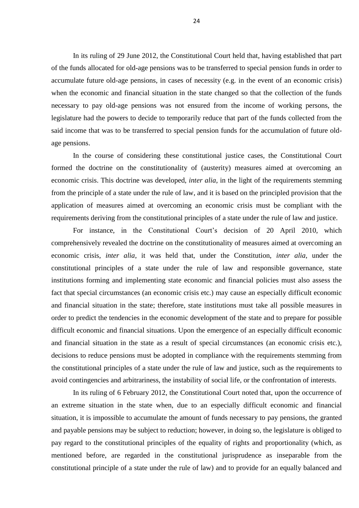In its ruling of 29 June 2012, the Constitutional Court held that, having established that part of the funds allocated for old-age pensions was to be transferred to special pension funds in order to accumulate future old-age pensions, in cases of necessity (e.g. in the event of an economic crisis) when the economic and financial situation in the state changed so that the collection of the funds necessary to pay old-age pensions was not ensured from the income of working persons, the legislature had the powers to decide to temporarily reduce that part of the funds collected from the said income that was to be transferred to special pension funds for the accumulation of future oldage pensions.

In the course of considering these constitutional justice cases, the Constitutional Court formed the doctrine on the constitutionality of (austerity) measures aimed at overcoming an economic crisis. This doctrine was developed, *inter alia*, in the light of the requirements stemming from the principle of a state under the rule of law, and it is based on the principled provision that the application of measures aimed at overcoming an economic crisis must be compliant with the requirements deriving from the constitutional principles of a state under the rule of law and justice.

For instance, in the Constitutional Court's decision of 20 April 2010, which comprehensively revealed the doctrine on the constitutionality of measures aimed at overcoming an economic crisis, *inter alia*, it was held that, under the Constitution, *inter alia*, under the constitutional principles of a state under the rule of law and responsible governance, state institutions forming and implementing state economic and financial policies must also assess the fact that special circumstances (an economic crisis etc.) may cause an especially difficult economic and financial situation in the state; therefore, state institutions must take all possible measures in order to predict the tendencies in the economic development of the state and to prepare for possible difficult economic and financial situations. Upon the emergence of an especially difficult economic and financial situation in the state as a result of special circumstances (an economic crisis etc.), decisions to reduce pensions must be adopted in compliance with the requirements stemming from the constitutional principles of a state under the rule of law and justice, such as the requirements to avoid contingencies and arbitrariness, the instability of social life, or the confrontation of interests.

In its ruling of 6 February 2012, the Constitutional Court noted that, upon the occurrence of an extreme situation in the state when, due to an especially difficult economic and financial situation, it is impossible to accumulate the amount of funds necessary to pay pensions, the granted and payable pensions may be subject to reduction; however, in doing so, the legislature is obliged to pay regard to the constitutional principles of the equality of rights and proportionality (which, as mentioned before, are regarded in the constitutional jurisprudence as inseparable from the constitutional principle of a state under the rule of law) and to provide for an equally balanced and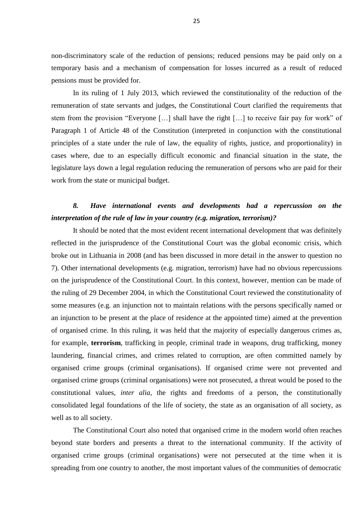non-discriminatory scale of the reduction of pensions; reduced pensions may be paid only on a temporary basis and a mechanism of compensation for losses incurred as a result of reduced pensions must be provided for.

In its ruling of 1 July 2013, which reviewed the constitutionality of the reduction of the remuneration of state servants and judges, the Constitutional Court clarified the requirements that stem from the provision "Everyone […] shall have the right […] to receive fair pay for work" of Paragraph 1 of Article 48 of the Constitution (interpreted in conjunction with the constitutional principles of a state under the rule of law, the equality of rights, justice, and proportionality) in cases where, due to an especially difficult economic and financial situation in the state, the legislature lays down a legal regulation reducing the remuneration of persons who are paid for their work from the state or municipal budget.

### *8. Have international events and developments had a repercussion on the interpretation of the rule of law in your country (e.g. migration, terrorism)?*

It should be noted that the most evident recent international development that was definitely reflected in the jurisprudence of the Constitutional Court was the global economic crisis, which broke out in Lithuania in 2008 (and has been discussed in more detail in the answer to question no 7). Other international developments (e.g. migration, terrorism) have had no obvious repercussions on the jurisprudence of the Constitutional Court. In this context, however, mention can be made of the ruling of 29 December 2004, in which the Constitutional Court reviewed the constitutionality of some measures (e.g. an injunction not to maintain relations with the persons specifically named or an injunction to be present at the place of residence at the appointed time) aimed at the prevention of organised crime. In this ruling, it was held that the majority of especially dangerous crimes as, for example, **terrorism**, trafficking in people, criminal trade in weapons, drug trafficking, money laundering, financial crimes, and crimes related to corruption, are often committed namely by organised crime groups (criminal organisations). If organised crime were not prevented and organised crime groups (criminal organisations) were not prosecuted, a threat would be posed to the constitutional values, *inter alia*, the rights and freedoms of a person, the constitutionally consolidated legal foundations of the life of society, the state as an organisation of all society, as well as to all society.

The Constitutional Court also noted that organised crime in the modern world often reaches beyond state borders and presents a threat to the international community. If the activity of organised crime groups (criminal organisations) were not persecuted at the time when it is spreading from one country to another, the most important values of the communities of democratic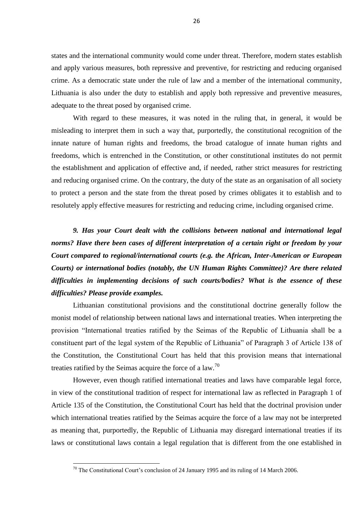states and the international community would come under threat. Therefore, modern states establish and apply various measures, both repressive and preventive, for restricting and reducing organised crime. As a democratic state under the rule of law and a member of the international community, Lithuania is also under the duty to establish and apply both repressive and preventive measures, adequate to the threat posed by organised crime.

With regard to these measures, it was noted in the ruling that, in general, it would be misleading to interpret them in such a way that, purportedly, the constitutional recognition of the innate nature of human rights and freedoms, the broad catalogue of innate human rights and freedoms, which is entrenched in the Constitution, or other constitutional institutes do not permit the establishment and application of effective and, if needed, rather strict measures for restricting and reducing organised crime. On the contrary, the duty of the state as an organisation of all society to protect a person and the state from the threat posed by crimes obligates it to establish and to resolutely apply effective measures for restricting and reducing crime, including organised crime.

*9. Has your Court dealt with the collisions between national and international legal norms? Have there been cases of different interpretation of a certain right or freedom by your Court compared to regional/international courts (e.g. the African, Inter-American or European Courts) or international bodies (notably, the UN Human Rights Committee)? Are there related difficulties in implementing decisions of such courts/bodies? What is the essence of these difficulties? Please provide examples.*

Lithuanian constitutional provisions and the constitutional doctrine generally follow the monist model of relationship between national laws and international treaties. When interpreting the provision "International treaties ratified by the Seimas of the Republic of Lithuania shall be a constituent part of the legal system of the Republic of Lithuania" of Paragraph 3 of Article 138 of the Constitution, the Constitutional Court has held that this provision means that international treaties ratified by the Seimas acquire the force of a law.<sup>70</sup>

However, even though ratified international treaties and laws have comparable legal force, in view of the constitutional tradition of respect for international law as reflected in Paragraph 1 of Article 135 of the Constitution, the Constitutional Court has held that the doctrinal provision under which international treaties ratified by the Seimas acquire the force of a law may not be interpreted as meaning that, purportedly, the Republic of Lithuania may disregard international treaties if its laws or constitutional laws contain a legal regulation that is different from the one established in

 $70$  The Constitutional Court's conclusion of 24 January 1995 and its ruling of 14 March 2006.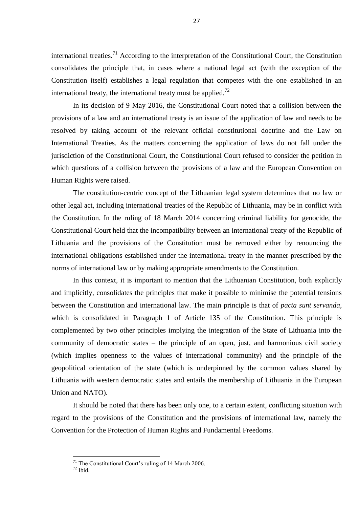international treaties.<sup>71</sup> According to the interpretation of the Constitutional Court, the Constitution consolidates the principle that, in cases where a national legal act (with the exception of the Constitution itself) establishes a legal regulation that competes with the one established in an international treaty, the international treaty must be applied.<sup>72</sup>

In its decision of 9 May 2016, the Constitutional Court noted that a collision between the provisions of a law and an international treaty is an issue of the application of law and needs to be resolved by taking account of the relevant official constitutional doctrine and the Law on International Treaties. As the matters concerning the application of laws do not fall under the jurisdiction of the Constitutional Court, the Constitutional Court refused to consider the petition in which questions of a collision between the provisions of a law and the European Convention on Human Rights were raised.

The constitution-centric concept of the Lithuanian legal system determines that no law or other legal act, including international treaties of the Republic of Lithuania, may be in conflict with the Constitution. In the ruling of 18 March 2014 concerning criminal liability for genocide, the Constitutional Court held that the incompatibility between an international treaty of the Republic of Lithuania and the provisions of the Constitution must be removed either by renouncing the international obligations established under the international treaty in the manner prescribed by the norms of international law or by making appropriate amendments to the Constitution.

In this context, it is important to mention that the Lithuanian Constitution, both explicitly and implicitly, consolidates the principles that make it possible to minimise the potential tensions between the Constitution and international law. The main principle is that of *pacta sunt servanda*, which is consolidated in Paragraph 1 of Article 135 of the Constitution*.* This principle is complemented by two other principles implying the integration of the State of Lithuania into the community of democratic states – the principle of an open, just, and harmonious civil society (which implies openness to the values of international community) and the principle of the geopolitical orientation of the state (which is underpinned by the common values shared by Lithuania with western democratic states and entails the membership of Lithuania in the European Union and NATO).

It should be noted that there has been only one, to a certain extent, conflicting situation with regard to the provisions of the Constitution and the provisions of international law, namely the Convention for the Protection of Human Rights and Fundamental Freedoms.

 $71$  The Constitutional Court's ruling of 14 March 2006.

 $72$  Thid.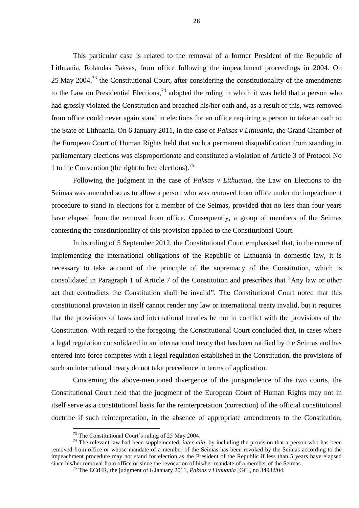This particular case is related to the removal of a former President of the Republic of Lithuania, Rolandas Paksas, from office following the impeachment proceedings in 2004. On 25 May 2004,<sup>73</sup> the Constitutional Court, after considering the constitutionality of the amendments to the Law on Presidential Elections,  $74$  adopted the ruling in which it was held that a person who had grossly violated the Constitution and breached his/her oath and, as a result of this, was removed from office could never again stand in elections for an office requiring a person to take an oath to the State of Lithuania. On 6 January 2011, in the case of *Paksas v Lithuania*, the Grand Chamber of the European Court of Human Rights held that such a permanent disqualification from standing in parliamentary elections was disproportionate and constituted a violation of Article 3 of Protocol No 1 to the Convention (the right to free elections).<sup>75</sup>

Following the judgment in the case of *Paksas v Lithuania*, the Law on Elections to the Seimas was amended so as to allow a person who was removed from office under the impeachment procedure to stand in elections for a member of the Seimas, provided that no less than four years have elapsed from the removal from office. Consequently, a group of members of the Seimas contesting the constitutionality of this provision applied to the Constitutional Court.

In its ruling of 5 September 2012, the Constitutional Court emphasised that, in the course of implementing the international obligations of the Republic of Lithuania in domestic law, it is necessary to take account of the principle of the supremacy of the Constitution, which is consolidated in Paragraph 1 of Article 7 of the Constitution and prescribes that "Any law or other act that contradicts the Constitution shall be invalid". The Constitutional Court noted that this constitutional provision in itself cannot render any law or international treaty invalid, but it requires that the provisions of laws and international treaties be not in conflict with the provisions of the Constitution. With regard to the foregoing, the Constitutional Court concluded that, in cases where a legal regulation consolidated in an international treaty that has been ratified by the Seimas and has entered into force competes with a legal regulation established in the Constitution, the provisions of such an international treaty do not take precedence in terms of application.

Concerning the above-mentioned divergence of the jurisprudence of the two courts, the Constitutional Court held that the judgment of the European Court of Human Rights may not in itself serve as a constitutional basis for the reinterpretation (correction) of the official constitutional doctrine if such reinterpretation, in the absence of appropriate amendments to the Constitution,

<sup>73</sup> The Constitutional Court's ruling of 25 May 2004.

<sup>&</sup>lt;sup>74</sup> The relevant law had been supplemented, *inter alia*, by including the provision that a person who has been removed from office or whose mandate of a member of the Seimas has been revoked by the Seimas according to the impeachment procedure may not stand for election as the President of the Republic if less than 5 years have elapsed since his/her removal from office or since the revocation of his/her mandate of a member of the Seimas.

<sup>75</sup> The ECtHR, the judgment of 6 January 2011, *Paksas v Lithuania* [GC], no 34932/04.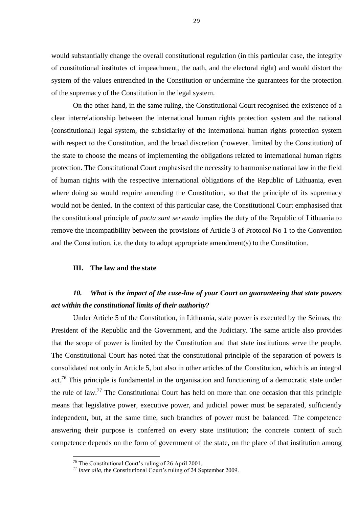would substantially change the overall constitutional regulation (in this particular case, the integrity of constitutional institutes of impeachment, the oath, and the electoral right) and would distort the system of the values entrenched in the Constitution or undermine the guarantees for the protection of the supremacy of the Constitution in the legal system.

On the other hand, in the same ruling, the Constitutional Court recognised the existence of a clear interrelationship between the international human rights protection system and the national (constitutional) legal system, the subsidiarity of the international human rights protection system with respect to the Constitution, and the broad discretion (however, limited by the Constitution) of the state to choose the means of implementing the obligations related to international human rights protection. The Constitutional Court emphasised the necessity to harmonise national law in the field of human rights with the respective international obligations of the Republic of Lithuania, even where doing so would require amending the Constitution, so that the principle of its supremacy would not be denied. In the context of this particular case, the Constitutional Court emphasised that the constitutional principle of *pacta sunt servanda* implies the duty of the Republic of Lithuania to remove the incompatibility between the provisions of Article 3 of Protocol No 1 to the Convention and the Constitution, i.e. the duty to adopt appropriate amendment(s) to the Constitution.

#### **III. The law and the state**

### *10. What is the impact of the case-law of your Court on guaranteeing that state powers act within the constitutional limits of their authority?*

Under Article 5 of the Constitution, in Lithuania, state power is executed by the Seimas, the President of the Republic and the Government, and the Judiciary. The same article also provides that the scope of power is limited by the Constitution and that state institutions serve the people. The Constitutional Court has noted that the constitutional principle of the separation of powers is consolidated not only in Article 5, but also in other articles of the Constitution, which is an integral act.<sup>76</sup> This principle is fundamental in the organisation and functioning of a democratic state under the rule of law.<sup>77</sup> The Constitutional Court has held on more than one occasion that this principle means that legislative power, executive power, and judicial power must be separated, sufficiently independent, but, at the same time, such branches of power must be balanced. The competence answering their purpose is conferred on every state institution; the concrete content of such competence depends on the form of government of the state, on the place of that institution among

 $76$  The Constitutional Court's ruling of 26 April 2001.

<sup>&</sup>lt;sup>77</sup> *Inter alia*, the Constitutional Court's ruling of 24 September 2009.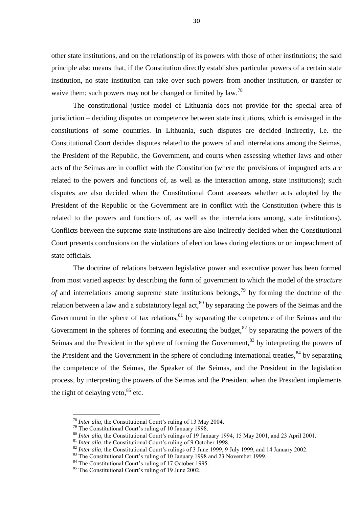other state institutions, and on the relationship of its powers with those of other institutions; the said principle also means that, if the Constitution directly establishes particular powers of a certain state institution, no state institution can take over such powers from another institution, or transfer or waive them; such powers may not be changed or limited by law.<sup>78</sup>

The constitutional justice model of Lithuania does not provide for the special area of jurisdiction – deciding disputes on competence between state institutions, which is envisaged in the constitutions of some countries. In Lithuania, such disputes are decided indirectly, i.e. the Constitutional Court decides disputes related to the powers of and interrelations among the Seimas, the President of the Republic, the Government, and courts when assessing whether laws and other acts of the Seimas are in conflict with the Constitution (where the provisions of impugned acts are related to the powers and functions of, as well as the interaction among, state institutions); such disputes are also decided when the Constitutional Court assesses whether acts adopted by the President of the Republic or the Government are in conflict with the Constitution (where this is related to the powers and functions of, as well as the interrelations among, state institutions). Conflicts between the supreme state institutions are also indirectly decided when the Constitutional Court presents conclusions on the violations of election laws during elections or on impeachment of state officials.

The doctrine of relations between legislative power and executive power has been formed from most varied aspects: by describing the form of government to which the model of the *structure of* and interrelations among supreme state institutions belongs,<sup>79</sup> by forming the doctrine of the relation between a law and a substatutory legal act,<sup>80</sup> by separating the powers of the Seimas and the Government in the sphere of tax relations,  $81$  by separating the competence of the Seimas and the Government in the spheres of forming and executing the budget,  $82$  by separating the powers of the Seimas and the President in the sphere of forming the Government,<sup>83</sup> by interpreting the powers of the President and the Government in the sphere of concluding international treaties,  $84$  by separating the competence of the Seimas, the Speaker of the Seimas, and the President in the legislation process, by interpreting the powers of the Seimas and the President when the President implements the right of delaying veto, $85$  etc.

<sup>78</sup> *Inter alia*, the Constitutional Court's ruling of 13 May 2004.

<sup>&</sup>lt;sup>79</sup> The Constitutional Court's ruling of 10 January 1998.

<sup>80</sup> *Inter alia*, the Constitutional Court's rulings of 19 January 1994, 15 May 2001, and 23 April 2001.

<sup>&</sup>lt;sup>81</sup> *Inter alia*, the Constitutional Court's ruling of 9 October 1998.

<sup>&</sup>lt;sup>82</sup> *Inter alia*, the Constitutional Court's rulings of 3 June 1999, 9 July 1999, and 14 January 2002.

<sup>&</sup>lt;sup>83</sup> The Constitutional Court's ruling of 10 January 1998 and 23 November 1999.

<sup>&</sup>lt;sup>84</sup> The Constitutional Court's ruling of 17 October 1995.

<sup>85</sup> The Constitutional Court's ruling of 19 June 2002.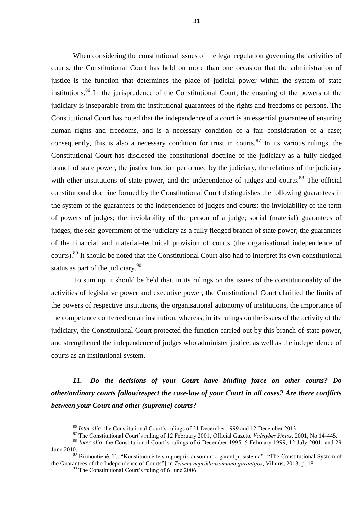When considering the constitutional issues of the legal regulation governing the activities of courts, the Constitutional Court has held on more than one occasion that the administration of justice is the function that determines the place of judicial power within the system of state institutions.<sup>86</sup> In the jurisprudence of the Constitutional Court, the ensuring of the powers of the judiciary is inseparable from the institutional guarantees of the rights and freedoms of persons. The Constitutional Court has noted that the independence of a court is an essential guarantee of ensuring human rights and freedoms, and is a necessary condition of a fair consideration of a case; consequently, this is also a necessary condition for trust in courts. $87$  In its various rulings, the Constitutional Court has disclosed the constitutional doctrine of the judiciary as a fully fledged branch of state power, the justice function performed by the judiciary, the relations of the judiciary with other institutions of state power, and the independence of judges and courts.<sup>88</sup> The official constitutional doctrine formed by the Constitutional Court distinguishes the following guarantees in the system of the guarantees of the independence of judges and courts: the inviolability of the term of powers of judges; the inviolability of the person of a judge; social (material) guarantees of judges; the self-government of the judiciary as a fully fledged branch of state power; the guarantees of the financial and material–technical provision of courts (the organisational independence of courts).<sup>89</sup> It should be noted that the Constitutional Court also had to interpret its own constitutional status as part of the judiciary.<sup>90</sup>

To sum up, it should be held that, in its rulings on the issues of the constitutionality of the activities of legislative power and executive power, the Constitutional Court clarified the limits of the powers of respective institutions, the organisational autonomy of institutions, the importance of the competence conferred on an institution, whereas, in its rulings on the issues of the activity of the judiciary, the Constitutional Court protected the function carried out by this branch of state power, and strengthened the independence of judges who administer justice, as well as the independence of courts as an institutional system.

*11. Do the decisions of your Court have binding force on other courts? Do other/ordinary courts follow/respect the case-law of your Court in all cases? Are there conflicts between your Court and other (supreme) courts?*

<sup>86</sup> *Inter alia*, the Constitutional Court's rulings of 21 December 1999 and 12 December 2013.

<sup>87</sup> The Constitutional Court's ruling of 12 February 2001, Official Gazette *Valstybės žinios*, 2001, No 14-445.

<sup>&</sup>lt;sup>88</sup> *Inter alia*, the Constitutional Court's rulings of 6 December 1995, 5 February 1999, 12 July 2001, and 29 June 2010.

<sup>89</sup> Birmontienė, T., "Konstitucinė teismų nepriklausomumo garantijų sistema" ["The Constitutional System of the Guarantees of the Independence of Courts"] in *Teismų nepriklausomumo garantijos*, Vilnius, 2013, p. 18.

<sup>&</sup>lt;sup>90</sup> The Constitutional Court's ruling of 6 June 2006.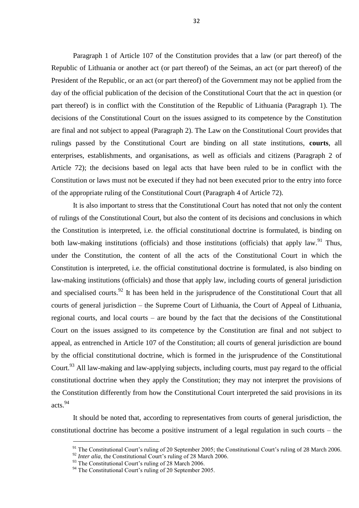Paragraph 1 of Article 107 of the Constitution provides that a law (or part thereof) of the Republic of Lithuania or another act (or part thereof) of the Seimas, an act (or part thereof) of the President of the Republic, or an act (or part thereof) of the Government may not be applied from the day of the official publication of the decision of the Constitutional Court that the act in question (or part thereof) is in conflict with the Constitution of the Republic of Lithuania (Paragraph 1). The decisions of the Constitutional Court on the issues assigned to its competence by the Constitution are final and not subject to appeal (Paragraph 2). The Law on the Constitutional Court provides that rulings passed by the Constitutional Court are binding on all state institutions, **courts**, all enterprises, establishments, and organisations, as well as officials and citizens (Paragraph 2 of Article 72); the decisions based on legal acts that have been ruled to be in conflict with the Constitution or laws must not be executed if they had not been executed prior to the entry into force of the appropriate ruling of the Constitutional Court (Paragraph 4 of Article 72).

It is also important to stress that the Constitutional Court has noted that not only the content of rulings of the Constitutional Court, but also the content of its decisions and conclusions in which the Constitution is interpreted, i.e. the official constitutional doctrine is formulated, is binding on both law-making institutions (officials) and those institutions (officials) that apply law.<sup>91</sup> Thus, under the Constitution, the content of all the acts of the Constitutional Court in which the Constitution is interpreted, i.e. the official constitutional doctrine is formulated, is also binding on law-making institutions (officials) and those that apply law, including courts of general jurisdiction and specialised courts.  $92$  It has been held in the jurisprudence of the Constitutional Court that all courts of general jurisdiction – the Supreme Court of Lithuania, the Court of Appeal of Lithuania, regional courts, and local courts – are bound by the fact that the decisions of the Constitutional Court on the issues assigned to its competence by the Constitution are final and not subject to appeal, as entrenched in Article 107 of the Constitution; all courts of general jurisdiction are bound by the official constitutional doctrine, which is formed in the jurisprudence of the Constitutional Court.<sup>93</sup> All law-making and law-applying subjects, including courts, must pay regard to the official constitutional doctrine when they apply the Constitution; they may not interpret the provisions of the Constitution differently from how the Constitutional Court interpreted the said provisions in its acts.<sup>94</sup>

It should be noted that, according to representatives from courts of general jurisdiction, the constitutional doctrine has become a positive instrument of a legal regulation in such courts – the

<sup>&</sup>lt;sup>91</sup> The Constitutional Court's ruling of 20 September 2005; the Constitutional Court's ruling of 28 March 2006.

<sup>&</sup>lt;sup>92</sup> *Inter alia*, the Constitutional Court's ruling of 28 March 2006.

<sup>&</sup>lt;sup>93</sup> The Constitutional Court's ruling of 28 March 2006.

 $94$  The Constitutional Court's ruling of 20 September 2005.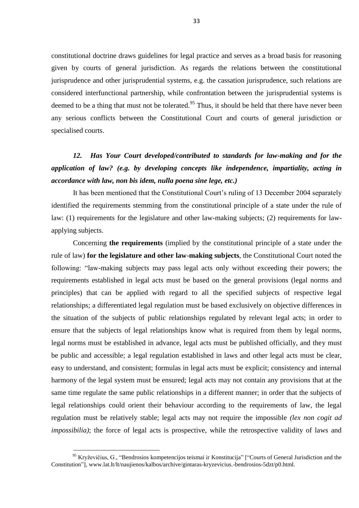constitutional doctrine draws guidelines for legal practice and serves as a broad basis for reasoning given by courts of general jurisdiction. As regards the relations between the constitutional jurisprudence and other jurisprudential systems, e.g. the cassation jurisprudence, such relations are considered interfunctional partnership, while confrontation between the jurisprudential systems is deemed to be a thing that must not be tolerated.<sup>95</sup> Thus, it should be held that there have never been any serious conflicts between the Constitutional Court and courts of general jurisdiction or specialised courts.

## *12. Has Your Court developed/contributed to standards for law-making and for the application of law? (e.g. by developing concepts like independence, impartiality, acting in accordance with law, non bis idem, nulla poena sine lege, etc.)*

It has been mentioned that the Constitutional Court's ruling of 13 December 2004 separately identified the requirements stemming from the constitutional principle of a state under the rule of law: (1) requirements for the legislature and other law-making subjects; (2) requirements for lawapplying subjects.

Concerning **the requirements** (implied by the constitutional principle of a state under the rule of law) **for the legislature and other law-making subjects**, the Constitutional Court noted the following: "law-making subjects may pass legal acts only without exceeding their powers; the requirements established in legal acts must be based on the general provisions (legal norms and principles) that can be applied with regard to all the specified subjects of respective legal relationships; a differentiated legal regulation must be based exclusively on objective differences in the situation of the subjects of public relationships regulated by relevant legal acts; in order to ensure that the subjects of legal relationships know what is required from them by legal norms, legal norms must be established in advance, legal acts must be published officially, and they must be public and accessible; a legal regulation established in laws and other legal acts must be clear, easy to understand, and consistent; formulas in legal acts must be explicit; consistency and internal harmony of the legal system must be ensured; legal acts may not contain any provisions that at the same time regulate the same public relationships in a different manner; in order that the subjects of legal relationships could orient their behaviour according to the requirements of law, the legal regulation must be relatively stable; legal acts may not require the impossible *(lex non cogit ad impossibilia)*; the force of legal acts is prospective, while the retrospective validity of laws and

<sup>&</sup>lt;sup>95</sup> Kryževičius, G., "Bendrosios kompetencijos teismai ir Konstitucija" ["Courts of General Jurisdiction and the Constitution"], www.lat.lt/lt/naujienos/kalbos/archive/gintaras-kryzevicius.-bendrosios-5dzt/p0.html.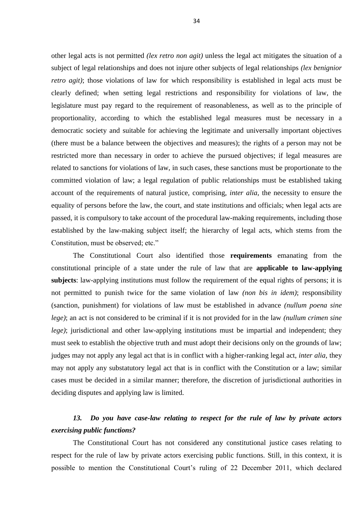other legal acts is not permitted *(lex retro non agit)* unless the legal act mitigates the situation of a subject of legal relationships and does not injure other subjects of legal relationships *(lex benignior retro agit)*; those violations of law for which responsibility is established in legal acts must be clearly defined; when setting legal restrictions and responsibility for violations of law, the legislature must pay regard to the requirement of reasonableness, as well as to the principle of proportionality, according to which the established legal measures must be necessary in a democratic society and suitable for achieving the legitimate and universally important objectives (there must be a balance between the objectives and measures); the rights of a person may not be restricted more than necessary in order to achieve the pursued objectives; if legal measures are related to sanctions for violations of law, in such cases, these sanctions must be proportionate to the committed violation of law; a legal regulation of public relationships must be established taking account of the requirements of natural justice, comprising, *inter alia*, the necessity to ensure the equality of persons before the law, the court, and state institutions and officials; when legal acts are passed, it is compulsory to take account of the procedural law-making requirements, including those established by the law-making subject itself; the hierarchy of legal acts, which stems from the Constitution, must be observed; etc."

The Constitutional Court also identified those **requirements** emanating from the constitutional principle of a state under the rule of law that are **applicable to law-applying subjects**: law-applying institutions must follow the requirement of the equal rights of persons; it is not permitted to punish twice for the same violation of law *(non bis in idem)*; responsibility (sanction, punishment) for violations of law must be established in advance *(nullum poena sine lege)*; an act is not considered to be criminal if it is not provided for in the law *(nullum crimen sine lege)*; jurisdictional and other law-applying institutions must be impartial and independent; they must seek to establish the objective truth and must adopt their decisions only on the grounds of law; judges may not apply any legal act that is in conflict with a higher-ranking legal act, *inter alia*, they may not apply any substatutory legal act that is in conflict with the Constitution or a law; similar cases must be decided in a similar manner; therefore, the discretion of jurisdictional authorities in deciding disputes and applying law is limited.

### *13. Do you have case-law relating to respect for the rule of law by private actors exercising public functions?*

The Constitutional Court has not considered any constitutional justice cases relating to respect for the rule of law by private actors exercising public functions. Still, in this context, it is possible to mention the Constitutional Court's ruling of 22 December 2011, which declared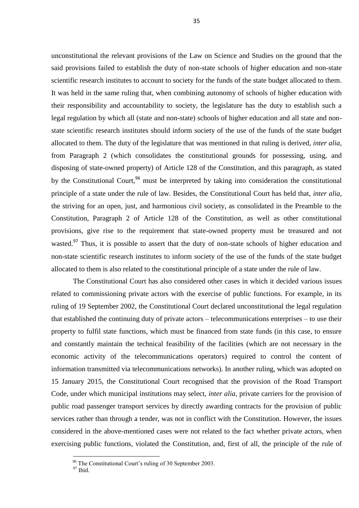unconstitutional the relevant provisions of the Law on Science and Studies on the ground that the said provisions failed to establish the duty of non-state schools of higher education and non-state scientific research institutes to account to society for the funds of the state budget allocated to them. It was held in the same ruling that, when combining autonomy of schools of higher education with their responsibility and accountability to society, the legislature has the duty to establish such a legal regulation by which all (state and non-state) schools of higher education and all state and nonstate scientific research institutes should inform society of the use of the funds of the state budget allocated to them. The duty of the legislature that was mentioned in that ruling is derived, *inter alia*, from Paragraph 2 (which consolidates the constitutional grounds for possessing, using, and disposing of state-owned property) of Article 128 of the Constitution, and this paragraph, as stated by the Constitutional Court,  $96$  must be interpreted by taking into consideration the constitutional principle of a state under the rule of law. Besides, the Constitutional Court has held that, *inter alia,* the striving for an open, just, and harmonious civil society, as consolidated in the Preamble to the Constitution, Paragraph 2 of Article 128 of the Constitution, as well as other constitutional provisions, give rise to the requirement that state-owned property must be treasured and not wasted.<sup>97</sup> Thus, it is possible to assert that the duty of non-state schools of higher education and non-state scientific research institutes to inform society of the use of the funds of the state budget allocated to them is also related to the constitutional principle of a state under the rule of law.

The Constitutional Court has also considered other cases in which it decided various issues related to commissioning private actors with the exercise of public functions. For example, in its ruling of 19 September 2002, the Constitutional Court declared unconstitutional the legal regulation that established the continuing duty of private actors – telecommunications enterprises – to use their property to fulfil state functions, which must be financed from state funds (in this case, to ensure and constantly maintain the technical feasibility of the facilities (which are not necessary in the economic activity of the telecommunications operators) required to control the content of information transmitted via telecommunications networks). In another ruling, which was adopted on 15 January 2015, the Constitutional Court recognised that the provision of the Road Transport Code, under which municipal institutions may select, *inter alia*, private carriers for the provision of public road passenger transport services by directly awarding contracts for the provision of public services rather than through a tender, was not in conflict with the Constitution. However, the issues considered in the above-mentioned cases were not related to the fact whether private actors, when exercising public functions, violated the Constitution, and, first of all, the principle of the rule of

<sup>&</sup>lt;sup>96</sup> The Constitutional Court's ruling of 30 September 2003.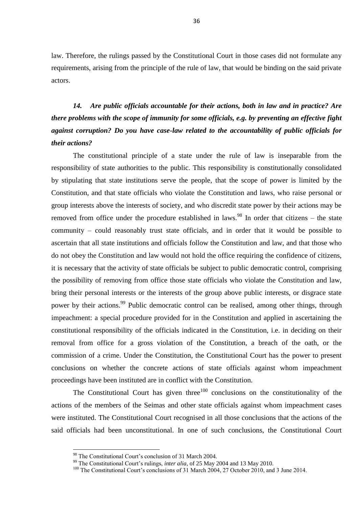law. Therefore, the rulings passed by the Constitutional Court in those cases did not formulate any requirements, arising from the principle of the rule of law, that would be binding on the said private actors.

*14. Are public officials accountable for their actions, both in law and in practice? Are there problems with the scope of immunity for some officials, e.g. by preventing an effective fight against corruption? Do you have case-law related to the accountability of public officials for their actions?*

The constitutional principle of a state under the rule of law is inseparable from the responsibility of state authorities to the public. This responsibility is constitutionally consolidated by stipulating that state institutions serve the people, that the scope of power is limited by the Constitution, and that state officials who violate the Constitution and laws, who raise personal or group interests above the interests of society, and who discredit state power by their actions may be removed from office under the procedure established in laws.<sup>98</sup> In order that citizens – the state community – could reasonably trust state officials, and in order that it would be possible to ascertain that all state institutions and officials follow the Constitution and law, and that those who do not obey the Constitution and law would not hold the office requiring the confidence of citizens, it is necessary that the activity of state officials be subject to public democratic control, comprising the possibility of removing from office those state officials who violate the Constitution and law, bring their personal interests or the interests of the group above public interests, or disgrace state power by their actions.<sup>99</sup> Public democratic control can be realised, among other things, through impeachment: a special procedure provided for in the Constitution and applied in ascertaining the constitutional responsibility of the officials indicated in the Constitution, i.e. in deciding on their removal from office for a gross violation of the Constitution, a breach of the oath, or the commission of a crime. Under the Constitution, the Constitutional Court has the power to present conclusions on whether the concrete actions of state officials against whom impeachment proceedings have been instituted are in conflict with the Constitution.

The Constitutional Court has given three<sup>100</sup> conclusions on the constitutionality of the actions of the members of the Seimas and other state officials against whom impeachment cases were instituted. The Constitutional Court recognised in all those conclusions that the actions of the said officials had been unconstitutional. In one of such conclusions, the Constitutional Court

<sup>&</sup>lt;sup>98</sup> The Constitutional Court's conclusion of 31 March 2004.

<sup>&</sup>lt;sup>99</sup> The Constitutional Court's rulings, *inter alia*, of 25 May 2004 and 13 May 2010.

<sup>&</sup>lt;sup>100</sup> The Constitutional Court's conclusions of 31 March 2004, 27 October 2010, and 3 June 2014.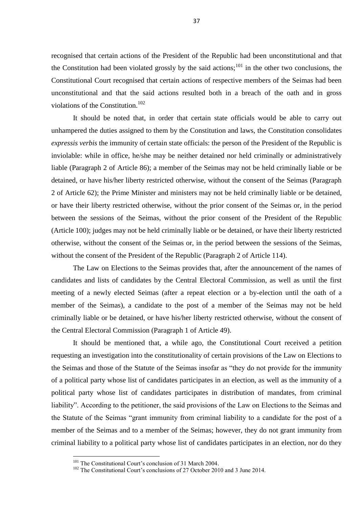recognised that certain actions of the President of the Republic had been unconstitutional and that the Constitution had been violated grossly by the said actions;<sup>101</sup> in the other two conclusions, the Constitutional Court recognised that certain actions of respective members of the Seimas had been unconstitutional and that the said actions resulted both in a breach of the oath and in gross violations of the Constitution.<sup>102</sup>

It should be noted that, in order that certain state officials would be able to carry out unhampered the duties assigned to them by the Constitution and laws, the Constitution consolidates *expressis verbis* the immunity of certain state officials: the person of the President of the Republic is inviolable: while in office, he/she may be neither detained nor held criminally or administratively liable (Paragraph 2 of Article 86); a member of the Seimas may not be held criminally liable or be detained, or have his/her liberty restricted otherwise, without the consent of the Seimas (Paragraph 2 of Article 62); the Prime Minister and ministers may not be held criminally liable or be detained, or have their liberty restricted otherwise, without the prior consent of the Seimas or, in the period between the sessions of the Seimas, without the prior consent of the President of the Republic (Article 100); judges may not be held criminally liable or be detained, or have their liberty restricted otherwise, without the consent of the Seimas or, in the period between the sessions of the Seimas, without the consent of the President of the Republic (Paragraph 2 of Article 114).

The Law on Elections to the Seimas provides that, after the announcement of the names of candidates and lists of candidates by the Central Electoral Commission, as well as until the first meeting of a newly elected Seimas (after a repeat election or a by-election until the oath of a member of the Seimas), a candidate to the post of a member of the Seimas may not be held criminally liable or be detained, or have his/her liberty restricted otherwise, without the consent of the Central Electoral Commission (Paragraph 1 of Article 49).

It should be mentioned that, a while ago, the Constitutional Court received a petition requesting an investigation into the constitutionality of certain provisions of the Law on Elections to the Seimas and those of the Statute of the Seimas insofar as "they do not provide for the immunity of a political party whose list of candidates participates in an election, as well as the immunity of a political party whose list of candidates participates in distribution of mandates, from criminal liability". According to the petitioner, the said provisions of the Law on Elections to the Seimas and the Statute of the Seimas "grant immunity from criminal liability to a candidate for the post of a member of the Seimas and to a member of the Seimas; however, they do not grant immunity from criminal liability to a political party whose list of candidates participates in an election, nor do they

<sup>&</sup>lt;sup>101</sup> The Constitutional Court's conclusion of 31 March 2004.

<sup>&</sup>lt;sup>102</sup> The Constitutional Court's conclusions of 27 October 2010 and 3 June 2014.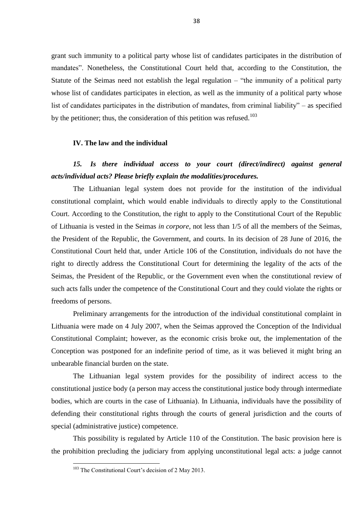grant such immunity to a political party whose list of candidates participates in the distribution of mandates". Nonetheless, the Constitutional Court held that, according to the Constitution, the Statute of the Seimas need not establish the legal regulation – "the immunity of a political party whose list of candidates participates in election, as well as the immunity of a political party whose list of candidates participates in the distribution of mandates, from criminal liability" – as specified by the petitioner; thus, the consideration of this petition was refused.<sup>103</sup>

#### **IV. The law and the individual**

### *15. Is there individual access to your court (direct/indirect) against general acts/individual acts? Please briefly explain the modalities/procedures.*

The Lithuanian legal system does not provide for the institution of the individual constitutional complaint, which would enable individuals to directly apply to the Constitutional Court. According to the Constitution, the right to apply to the Constitutional Court of the Republic of Lithuania is vested in the Seimas *in corpore*, not less than 1/5 of all the members of the Seimas, the President of the Republic, the Government, and courts. In its decision of 28 June of 2016, the Constitutional Court held that, under Article 106 of the Constitution, individuals do not have the right to directly address the Constitutional Court for determining the legality of the acts of the Seimas, the President of the Republic, or the Government even when the constitutional review of such acts falls under the competence of the Constitutional Court and they could violate the rights or freedoms of persons.

Preliminary arrangements for the introduction of the individual constitutional complaint in Lithuania were made on 4 July 2007, when the Seimas approved the Conception of the Individual Constitutional Complaint; however, as the economic crisis broke out, the implementation of the Conception was postponed for an indefinite period of time, as it was believed it might bring an unbearable financial burden on the state.

The Lithuanian legal system provides for the possibility of indirect access to the constitutional justice body (a person may access the constitutional justice body through intermediate bodies, which are courts in the case of Lithuania). In Lithuania, individuals have the possibility of defending their constitutional rights through the courts of general jurisdiction and the courts of special (administrative justice) competence.

This possibility is regulated by Article 110 of the Constitution. The basic provision here is the prohibition precluding the judiciary from applying unconstitutional legal acts: a judge cannot

<sup>&</sup>lt;sup>103</sup> The Constitutional Court's decision of 2 May 2013.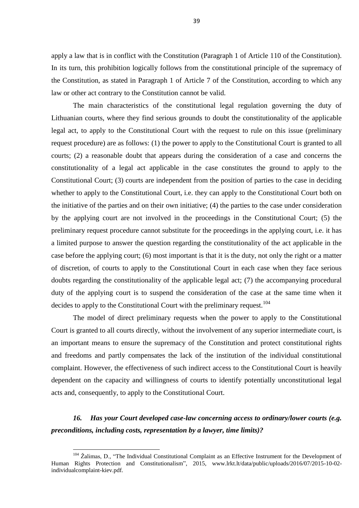apply a law that is in conflict with the Constitution (Paragraph 1 of Article 110 of the Constitution). In its turn, this prohibition logically follows from the constitutional principle of the supremacy of the Constitution, as stated in Paragraph 1 of Article 7 of the Constitution, according to which any law or other act contrary to the Constitution cannot be valid.

The main characteristics of the constitutional legal regulation governing the duty of Lithuanian courts, where they find serious grounds to doubt the constitutionality of the applicable legal act, to apply to the Constitutional Court with the request to rule on this issue (preliminary request procedure) are as follows: (1) the power to apply to the Constitutional Court is granted to all courts; (2) a reasonable doubt that appears during the consideration of a case and concerns the constitutionality of a legal act applicable in the case constitutes the ground to apply to the Constitutional Court; (3) courts are independent from the position of parties to the case in deciding whether to apply to the Constitutional Court, i.e. they can apply to the Constitutional Court both on the initiative of the parties and on their own initiative; (4) the parties to the case under consideration by the applying court are not involved in the proceedings in the Constitutional Court; (5) the preliminary request procedure cannot substitute for the proceedings in the applying court, i.e. it has a limited purpose to answer the question regarding the constitutionality of the act applicable in the case before the applying court; (6) most important is that it is the duty, not only the right or a matter of discretion, of courts to apply to the Constitutional Court in each case when they face serious doubts regarding the constitutionality of the applicable legal act; (7) the accompanying procedural duty of the applying court is to suspend the consideration of the case at the same time when it decides to apply to the Constitutional Court with the preliminary request.<sup>104</sup>

The model of direct preliminary requests when the power to apply to the Constitutional Court is granted to all courts directly, without the involvement of any superior intermediate court, is an important means to ensure the supremacy of the Constitution and protect constitutional rights and freedoms and partly compensates the lack of the institution of the individual constitutional complaint. However, the effectiveness of such indirect access to the Constitutional Court is heavily dependent on the capacity and willingness of courts to identify potentially unconstitutional legal acts and, consequently, to apply to the Constitutional Court.

*16. Has your Court developed case-law concerning access to ordinary/lower courts (e.g. preconditions, including costs, representation by a lawyer, time limits)?*

<sup>&</sup>lt;sup>104</sup> Žalimas, D., "The Individual Constitutional Complaint as an Effective Instrument for the Development of Human Rights Protection and Constitutionalism", 2015, [www.lrkt.lt/data/public/uploads/2016/07/2015-10-02](http://www.lrkt.lt/data/public/uploads/2016/07/2015-10-02-individualcomplaint-kiev.pdf) [individualcomplaint-kiev.pdf.](http://www.lrkt.lt/data/public/uploads/2016/07/2015-10-02-individualcomplaint-kiev.pdf)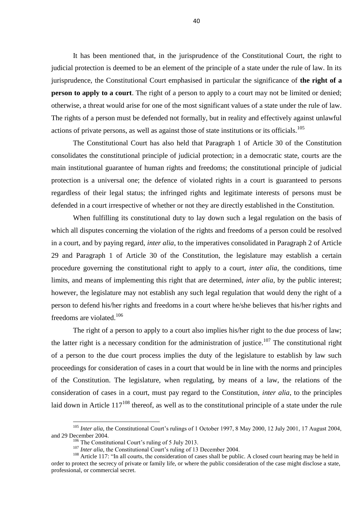It has been mentioned that, in the jurisprudence of the Constitutional Court, the right to judicial protection is deemed to be an element of the principle of a state under the rule of law. In its jurisprudence, the Constitutional Court emphasised in particular the significance of **the right of a person to apply to a court**. The right of a person to apply to a court may not be limited or denied; otherwise, a threat would arise for one of the most significant values of a state under the rule of law. The rights of a person must be defended not formally, but in reality and effectively against unlawful actions of private persons, as well as against those of state institutions or its officials.<sup>105</sup>

The Constitutional Court has also held that Paragraph 1 of Article 30 of the Constitution consolidates the constitutional principle of judicial protection; in a democratic state, courts are the main institutional guarantee of human rights and freedoms; the constitutional principle of judicial protection is a universal one; the defence of violated rights in a court is guaranteed to persons regardless of their legal status; the infringed rights and legitimate interests of persons must be defended in a court irrespective of whether or not they are directly established in the Constitution.

When fulfilling its constitutional duty to lay down such a legal regulation on the basis of which all disputes concerning the violation of the rights and freedoms of a person could be resolved in a court, and by paying regard, *inter alia*, to the imperatives consolidated in Paragraph 2 of Article 29 and Paragraph 1 of Article 30 of the Constitution, the legislature may establish a certain procedure governing the constitutional right to apply to a court, *inter alia*, the conditions, time limits, and means of implementing this right that are determined, *inter alia*, by the public interest; however, the legislature may not establish any such legal regulation that would deny the right of a person to defend his/her rights and freedoms in a court where he/she believes that his/her rights and freedoms are violated.<sup>106</sup>

The right of a person to apply to a court also implies his/her right to the due process of law; the latter right is a necessary condition for the administration of justice.<sup>107</sup> The constitutional right of a person to the due court process implies the duty of the legislature to establish by law such proceedings for consideration of cases in a court that would be in line with the norms and principles of the Constitution. The legislature, when regulating, by means of a law, the relations of the consideration of cases in a court, must pay regard to the Constitution, *inter alia*, to the principles laid down in Article  $117^{108}$  thereof, as well as to the constitutional principle of a state under the rule

<sup>&</sup>lt;sup>105</sup> *Inter alia*, the Constitutional Court's rulings of 1 October 1997, 8 May 2000, 12 July 2001, 17 August 2004, and 29 December 2004.

 $106$  The Constitutional Court's ruling of 5 July 2013.

<sup>&</sup>lt;sup>107</sup> *Inter alia*, the Constitutional Court's ruling of 13 December 2004.

<sup>&</sup>lt;sup>108</sup> Article 117: "In all courts, the consideration of cases shall be public. A closed court hearing may be held in order to protect the secrecy of private or family life, or where the public consideration of the case might disclose a state, professional, or commercial secret.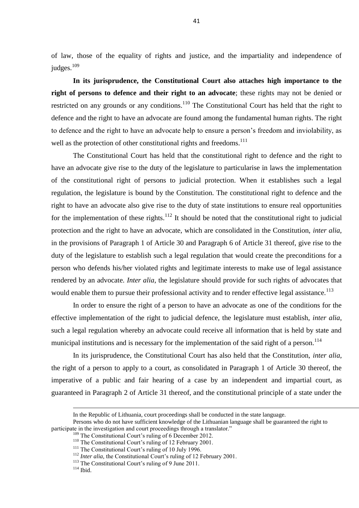of law, those of the equality of rights and justice, and the impartiality and independence of judges.<sup>109</sup>

**In its jurisprudence, the Constitutional Court also attaches high importance to the right of persons to defence and their right to an advocate**; these rights may not be denied or restricted on any grounds or any conditions.<sup>110</sup> The Constitutional Court has held that the right to defence and the right to have an advocate are found among the fundamental human rights. The right to defence and the right to have an advocate help to ensure a person's freedom and inviolability, as well as the protection of other constitutional rights and freedoms.<sup>111</sup>

The Constitutional Court has held that the constitutional right to defence and the right to have an advocate give rise to the duty of the legislature to particularise in laws the implementation of the constitutional right of persons to judicial protection. When it establishes such a legal regulation, the legislature is bound by the Constitution. The constitutional right to defence and the right to have an advocate also give rise to the duty of state institutions to ensure real opportunities for the implementation of these rights.<sup>112</sup> It should be noted that the constitutional right to judicial protection and the right to have an advocate, which are consolidated in the Constitution, *inter alia*, in the provisions of Paragraph 1 of Article 30 and Paragraph 6 of Article 31 thereof, give rise to the duty of the legislature to establish such a legal regulation that would create the preconditions for a person who defends his/her violated rights and legitimate interests to make use of legal assistance rendered by an advocate. *Inter alia*, the legislature should provide for such rights of advocates that would enable them to pursue their professional activity and to render effective legal assistance.<sup>113</sup>

In order to ensure the right of a person to have an advocate as one of the conditions for the effective implementation of the right to judicial defence, the legislature must establish, *inter alia*, such a legal regulation whereby an advocate could receive all information that is held by state and municipal institutions and is necessary for the implementation of the said right of a person.<sup>114</sup>

In its jurisprudence, the Constitutional Court has also held that the Constitution, *inter alia*, the right of a person to apply to a court, as consolidated in Paragraph 1 of Article 30 thereof, the imperative of a public and fair hearing of a case by an independent and impartial court, as guaranteed in Paragraph 2 of Article 31 thereof, and the constitutional principle of a state under the

 $114$  Ibid.

In the Republic of Lithuania, court proceedings shall be conducted in the state language.

Persons who do not have sufficient knowledge of the Lithuanian language shall be guaranteed the right to participate in the investigation and court proceedings through a translator."

<sup>&</sup>lt;sup>109</sup> The Constitutional Court's ruling of 6 December 2012.

<sup>&</sup>lt;sup>110</sup> The Constitutional Court's ruling of 12 February 2001.

<sup>&</sup>lt;sup>111</sup> The Constitutional Court's ruling of 10 July 1996.

<sup>&</sup>lt;sup>112</sup> *Inter alia*, the Constitutional Court's ruling of 12 February 2001.

<sup>&</sup>lt;sup>113</sup> The Constitutional Court's ruling of 9 June 2011.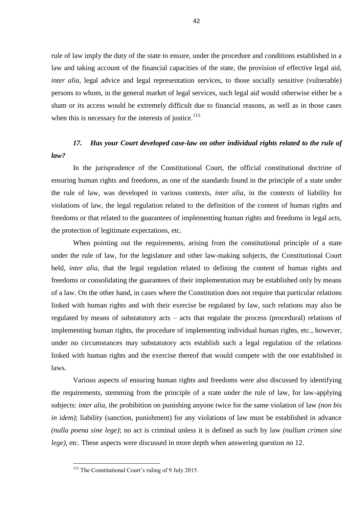rule of law imply the duty of the state to ensure, under the procedure and conditions established in a law and taking account of the financial capacities of the state, the provision of effective legal aid, *inter alia*, legal advice and legal representation services, to those socially sensitive (vulnerable) persons to whom, in the general market of legal services, such legal aid would otherwise either be a sham or its access would be extremely difficult due to financial reasons, as well as in those cases when this is necessary for the interests of justice. $115$ 

### *17. Has your Court developed case-law on other individual rights related to the rule of law?*

In the jurisprudence of the Constitutional Court, the official constitutional doctrine of ensuring human rights and freedoms, as one of the standards found in the principle of a state under the rule of law, was developed in various contexts, *inter alia*, in the contexts of liability for violations of law, the legal regulation related to the definition of the content of human rights and freedoms or that related to the guarantees of implementing human rights and freedoms in legal acts, the protection of legitimate expectations, etc.

When pointing out the requirements, arising from the constitutional principle of a state under the rule of law, for the legislature and other law-making subjects, the Constitutional Court held, *inter alia*, that the legal regulation related to defining the content of human rights and freedoms or consolidating the guarantees of their implementation may be established only by means of a law. On the other hand, in cases where the Constitution does not require that particular relations linked with human rights and with their exercise be regulated by law, such relations may also be regulated by means of substatutory acts – acts that regulate the process (procedural) relations of implementing human rights, the procedure of implementing individual human rights, etc., however, under no circumstances may substatutory acts establish such a legal regulation of the relations linked with human rights and the exercise thereof that would compete with the one established in laws.

Various aspects of ensuring human rights and freedoms were also discussed by identifying the requirements, stemming from the principle of a state under the rule of law, for law-applying subjects: *inter alia*, the prohibition on punishing anyone twice for the same violation of law *(non bis in idem)*; liability (sanction, punishment) for any violations of law must be established in advance *(nulla poena sine lege)*; no act is criminal unless it is defined as such by law *(nullum crimen sine lege*), etc. These aspects were discussed in more depth when answering question no 12.

<sup>&</sup>lt;sup>115</sup> The Constitutional Court's ruling of 9 July 2015.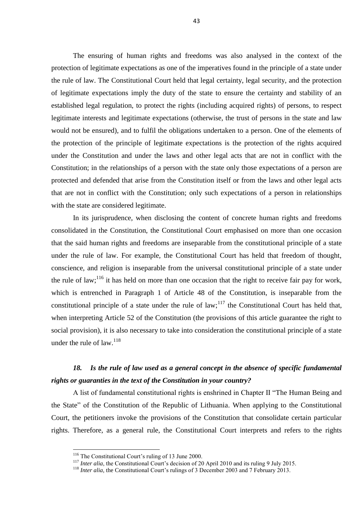The ensuring of human rights and freedoms was also analysed in the context of the protection of legitimate expectations as one of the imperatives found in the principle of a state under the rule of law. The Constitutional Court held that legal certainty, legal security, and the protection of legitimate expectations imply the duty of the state to ensure the certainty and stability of an established legal regulation, to protect the rights (including acquired rights) of persons, to respect legitimate interests and legitimate expectations (otherwise, the trust of persons in the state and law would not be ensured), and to fulfil the obligations undertaken to a person. One of the elements of the protection of the principle of legitimate expectations is the protection of the rights acquired under the Constitution and under the laws and other legal acts that are not in conflict with the Constitution; in the relationships of a person with the state only those expectations of a person are protected and defended that arise from the Constitution itself or from the laws and other legal acts that are not in conflict with the Constitution; only such expectations of a person in relationships with the state are considered legitimate.

In its jurisprudence, when disclosing the content of concrete human rights and freedoms consolidated in the Constitution, the Constitutional Court emphasised on more than one occasion that the said human rights and freedoms are inseparable from the constitutional principle of a state under the rule of law. For example, the Constitutional Court has held that freedom of thought, conscience, and religion is inseparable from the universal constitutional principle of a state under the rule of law;<sup>116</sup> it has held on more than one occasion that the right to receive fair pay for work, which is entrenched in Paragraph 1 of Article 48 of the Constitution, is inseparable from the constitutional principle of a state under the rule of law;<sup>117</sup> the Constitutional Court has held that, when interpreting Article 52 of the Constitution (the provisions of this article guarantee the right to social provision), it is also necessary to take into consideration the constitutional principle of a state under the rule of law. $^{118}$ 

#### *18. Is the rule of law used as a general concept in the absence of specific fundamental rights or guaranties in the text of the Constitution in your country?*

A list of fundamental constitutional rights is enshrined in Chapter II "The Human Being and the State" of the Constitution of the Republic of Lithuania. When applying to the Constitutional Court, the petitioners invoke the provisions of the Constitution that consolidate certain particular rights. Therefore, as a general rule, the Constitutional Court interprets and refers to the rights

<sup>&</sup>lt;sup>116</sup> The Constitutional Court's ruling of 13 June 2000.

<sup>&</sup>lt;sup>117</sup> *Inter alia*, the Constitutional Court's decision of 20 April 2010 and its ruling 9 July 2015.

<sup>&</sup>lt;sup>118</sup> *Inter alia*, the Constitutional Court's rulings of 3 December 2003 and 7 February 2013.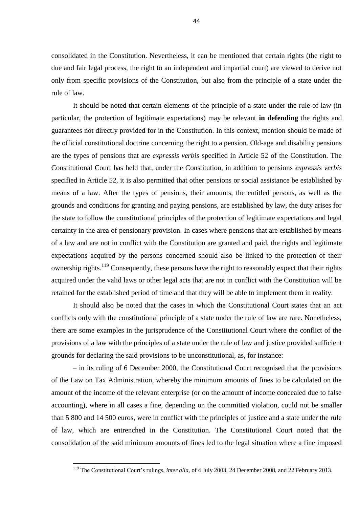consolidated in the Constitution. Nevertheless, it can be mentioned that certain rights (the right to due and fair legal process, the right to an independent and impartial court) are viewed to derive not only from specific provisions of the Constitution, but also from the principle of a state under the rule of law.

It should be noted that certain elements of the principle of a state under the rule of law (in particular, the protection of legitimate expectations) may be relevant **in defending** the rights and guarantees not directly provided for in the Constitution. In this context, mention should be made of the official constitutional doctrine concerning the right to a pension. Old-age and disability pensions are the types of pensions that are *expressis verbis* specified in Article 52 of the Constitution. The Constitutional Court has held that, under the Constitution, in addition to pensions *expressis verbis* specified in Article 52, it is also permitted that other pensions or social assistance be established by means of a law. After the types of pensions, their amounts, the entitled persons, as well as the grounds and conditions for granting and paying pensions, are established by law, the duty arises for the state to follow the constitutional principles of the protection of legitimate expectations and legal certainty in the area of pensionary provision. In cases where pensions that are established by means of a law and are not in conflict with the Constitution are granted and paid, the rights and legitimate expectations acquired by the persons concerned should also be linked to the protection of their ownership rights.<sup>119</sup> Consequently, these persons have the right to reasonably expect that their rights acquired under the valid laws or other legal acts that are not in conflict with the Constitution will be retained for the established period of time and that they will be able to implement them in reality.

It should also be noted that the cases in which the Constitutional Court states that an act conflicts only with the constitutional principle of a state under the rule of law are rare. Nonetheless, there are some examples in the jurisprudence of the Constitutional Court where the conflict of the provisions of a law with the principles of a state under the rule of law and justice provided sufficient grounds for declaring the said provisions to be unconstitutional, as, for instance:

– in its ruling of 6 December 2000, the Constitutional Court recognised that the provisions of the Law on Tax Administration, whereby the minimum amounts of fines to be calculated on the amount of the income of the relevant enterprise (or on the amount of income concealed due to false accounting), where in all cases a fine, depending on the committed violation, could not be smaller than 5 800 and 14 500 euros, were in conflict with the principles of justice and a state under the rule of law, which are entrenched in the Constitution. The Constitutional Court noted that the consolidation of the said minimum amounts of fines led to the legal situation where a fine imposed

<sup>&</sup>lt;sup>119</sup> The Constitutional Court's rulings, *inter alia*, of 4 July 2003, 24 December 2008, and 22 February 2013.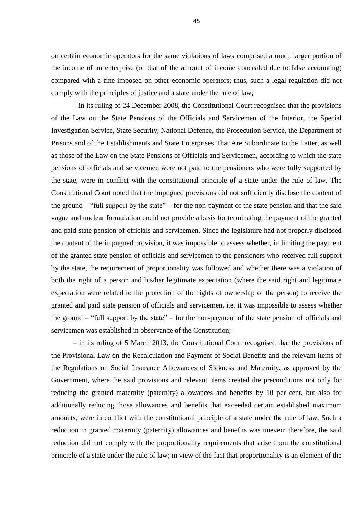on certain economic operators for the same violations of laws comprised a much larger portion of the income of an enterprise (or that of the amount of income concealed due to false accounting) compared with a fine imposed on other economic operators; thus, such a legal regulation did not comply with the principles of justice and a state under the rule of law;

– in its ruling of 24 December 2008, the Constitutional Court recognised that the provisions of the Law on the State Pensions of the Officials and Servicemen of the Interior, the Special Investigation Service, State Security, National Defence, the Prosecution Service, the Department of Prisons and of the Establishments and State Enterprises That Are Subordinate to the Latter, as well as those of the Law on the State Pensions of Officials and Servicemen, according to which the state pensions of officials and servicemen were not paid to the pensioners who were fully supported by the state, were in conflict with the constitutional principle of a state under the rule of law. The Constitutional Court noted that the impugned provisions did not sufficiently disclose the content of the ground – "full support by the state" – for the non-payment of the state pension and that the said vague and unclear formulation could not provide a basis for terminating the payment of the granted and paid state pension of officials and servicemen. Since the legislature had not properly disclosed the content of the impugned provision, it was impossible to assess whether, in limiting the payment of the granted state pension of officials and servicemen to the pensioners who received full support by the state, the requirement of proportionality was followed and whether there was a violation of both the right of a person and his/her legitimate expectation (where the said right and legitimate expectation were related to the protection of the rights of ownership of the person) to receive the granted and paid state pension of officials and servicemen, i.e. it was impossible to assess whether the ground – "full support by the state" – for the non-payment of the state pension of officials and servicemen was established in observance of the Constitution;

– in its ruling of 5 March 2013, the Constitutional Court recognised that the provisions of the Provisional Law on the Recalculation and Payment of Social Benefits and the relevant items of the Regulations on Social Insurance Allowances of Sickness and Maternity, as approved by the Government, where the said provisions and relevant items created the preconditions not only for reducing the granted maternity (paternity) allowances and benefits by 10 per cent, but also for additionally reducing those allowances and benefits that exceeded certain established maximum amounts, were in conflict with the constitutional principle of a state under the rule of law. Such a reduction in granted maternity (paternity) allowances and benefits was uneven; therefore, the said reduction did not comply with the proportionality requirements that arise from the constitutional principle of a state under the rule of law; in view of the fact that proportionality is an element of the